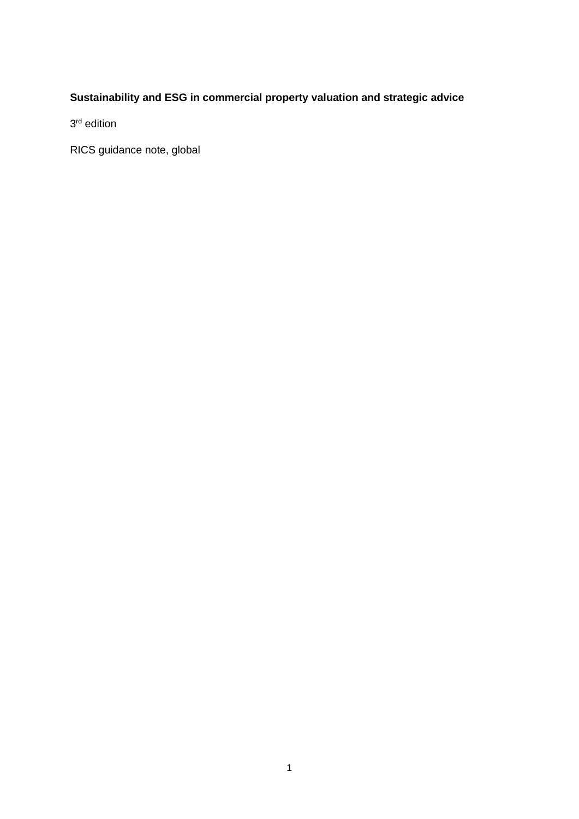## **Sustainability and ESG in commercial property valuation and strategic advice**

3<sup>rd</sup> edition

RICS guidance note, global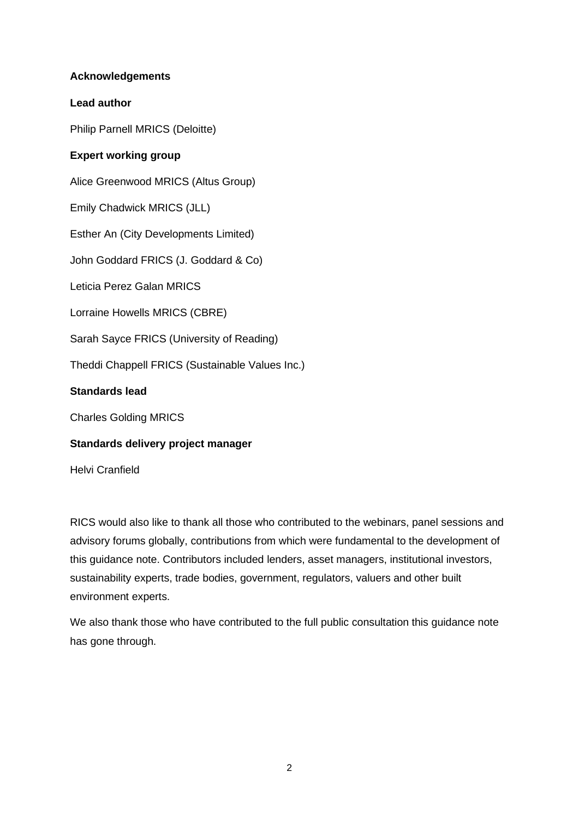#### **Acknowledgements**

#### **Lead author**

Philip Parnell MRICS (Deloitte)

### **Expert working group**

Alice Greenwood MRICS (Altus Group)

Emily Chadwick MRICS (JLL)

Esther An (City Developments Limited)

John Goddard FRICS (J. Goddard & Co)

Leticia Perez Galan MRICS

Lorraine Howells MRICS (CBRE)

Sarah Sayce FRICS (University of Reading)

Theddi Chappell FRICS (Sustainable Values Inc.)

#### **Standards lead**

Charles Golding MRICS

#### **Standards delivery project manager**

Helvi Cranfield

RICS would also like to thank all those who contributed to the webinars, panel sessions and advisory forums globally, contributions from which were fundamental to the development of this guidance note. Contributors included lenders, asset managers, institutional investors, sustainability experts, trade bodies, government, regulators, valuers and other built environment experts.

We also thank those who have contributed to the full public consultation this guidance note has gone through.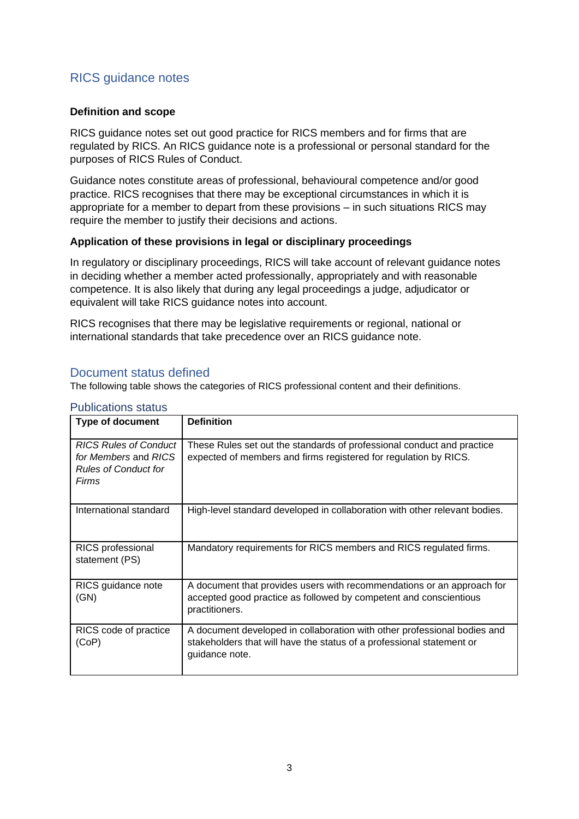## RICS guidance notes

#### **Definition and scope**

RICS guidance notes set out good practice for RICS members and for firms that are regulated by RICS. An RICS guidance note is a professional or personal standard for the purposes of RICS Rules of Conduct.

Guidance notes constitute areas of professional, behavioural competence and/or good practice. RICS recognises that there may be exceptional circumstances in which it is appropriate for a member to depart from these provisions – in such situations RICS may require the member to justify their decisions and actions.

#### **Application of these provisions in legal or disciplinary proceedings**

In regulatory or disciplinary proceedings, RICS will take account of relevant guidance notes in deciding whether a member acted professionally, appropriately and with reasonable competence. It is also likely that during any legal proceedings a judge, adjudicator or equivalent will take RICS guidance notes into account.

RICS recognises that there may be legislative requirements or regional, national or international standards that take precedence over an RICS guidance note.

### Document status defined

The following table shows the categories of RICS professional content and their definitions.

| <b>Type of document</b>                                                                      | <b>Definition</b>                                                                                                                                                   |
|----------------------------------------------------------------------------------------------|---------------------------------------------------------------------------------------------------------------------------------------------------------------------|
| <b>RICS Rules of Conduct</b><br>for Members and RICS<br><b>Rules of Conduct for</b><br>Firms | These Rules set out the standards of professional conduct and practice<br>expected of members and firms registered for regulation by RICS.                          |
| International standard                                                                       | High-level standard developed in collaboration with other relevant bodies.                                                                                          |
| RICS professional<br>statement (PS)                                                          | Mandatory requirements for RICS members and RICS regulated firms.                                                                                                   |
| RICS guidance note<br>(GN)                                                                   | A document that provides users with recommendations or an approach for<br>accepted good practice as followed by competent and conscientious<br>practitioners.       |
| RICS code of practice<br>(CoP)                                                               | A document developed in collaboration with other professional bodies and<br>stakeholders that will have the status of a professional statement or<br>guidance note. |

#### Publications status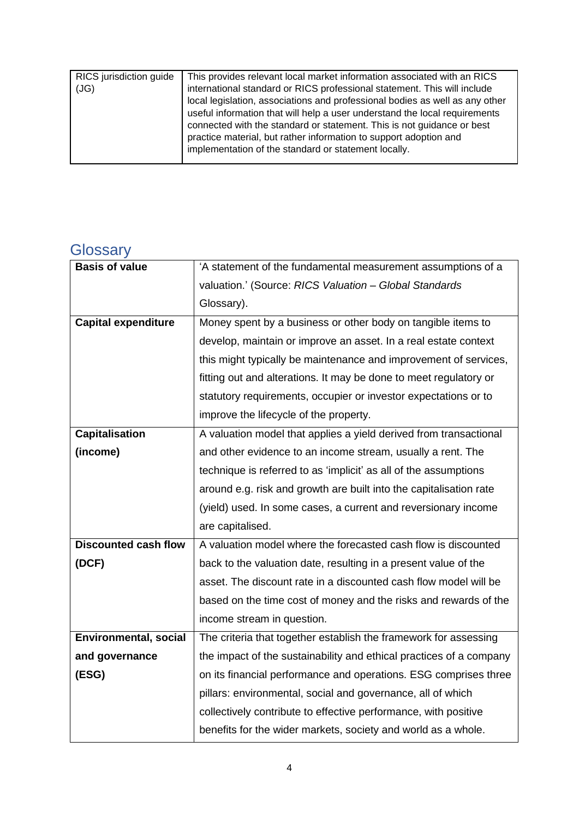| RICS jurisdiction guide<br>(JG) | This provides relevant local market information associated with an RICS<br>international standard or RICS professional statement. This will include<br>local legislation, associations and professional bodies as well as any other<br>useful information that will help a user understand the local requirements<br>connected with the standard or statement. This is not guidance or best<br>practice material, but rather information to support adoption and<br>implementation of the standard or statement locally. |
|---------------------------------|--------------------------------------------------------------------------------------------------------------------------------------------------------------------------------------------------------------------------------------------------------------------------------------------------------------------------------------------------------------------------------------------------------------------------------------------------------------------------------------------------------------------------|
|                                 |                                                                                                                                                                                                                                                                                                                                                                                                                                                                                                                          |

# **Glossary**

| <b>Basis of value</b>        | 'A statement of the fundamental measurement assumptions of a        |
|------------------------------|---------------------------------------------------------------------|
|                              | valuation.' (Source: RICS Valuation - Global Standards              |
|                              | Glossary).                                                          |
| <b>Capital expenditure</b>   | Money spent by a business or other body on tangible items to        |
|                              | develop, maintain or improve an asset. In a real estate context     |
|                              | this might typically be maintenance and improvement of services,    |
|                              | fitting out and alterations. It may be done to meet regulatory or   |
|                              | statutory requirements, occupier or investor expectations or to     |
|                              | improve the lifecycle of the property.                              |
| <b>Capitalisation</b>        | A valuation model that applies a yield derived from transactional   |
| (income)                     | and other evidence to an income stream, usually a rent. The         |
|                              | technique is referred to as 'implicit' as all of the assumptions    |
|                              | around e.g. risk and growth are built into the capitalisation rate  |
|                              | (yield) used. In some cases, a current and reversionary income      |
|                              | are capitalised.                                                    |
| <b>Discounted cash flow</b>  | A valuation model where the forecasted cash flow is discounted      |
| (DCF)                        | back to the valuation date, resulting in a present value of the     |
|                              | asset. The discount rate in a discounted cash flow model will be    |
|                              | based on the time cost of money and the risks and rewards of the    |
|                              | income stream in question.                                          |
| <b>Environmental, social</b> | The criteria that together establish the framework for assessing    |
| and governance               | the impact of the sustainability and ethical practices of a company |
| (ESG)                        | on its financial performance and operations. ESG comprises three    |
|                              | pillars: environmental, social and governance, all of which         |
|                              | collectively contribute to effective performance, with positive     |
|                              | benefits for the wider markets, society and world as a whole.       |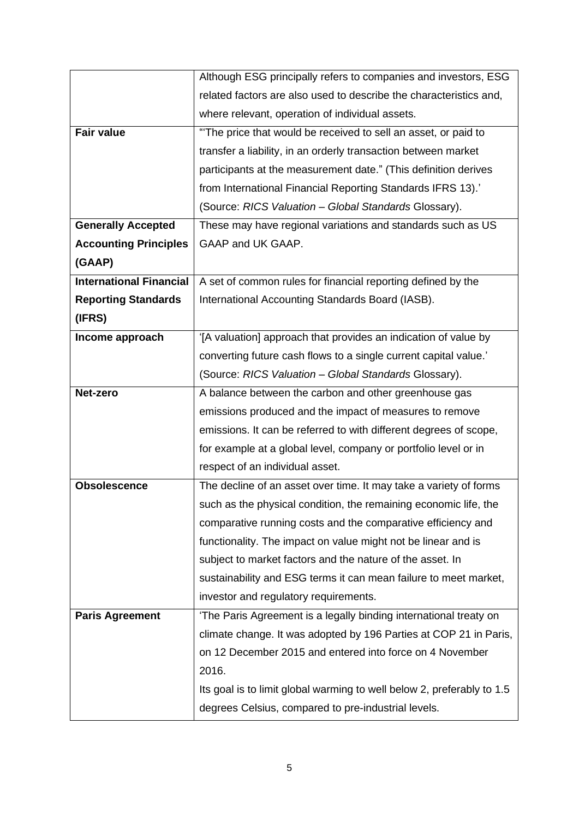|                                | Although ESG principally refers to companies and investors, ESG        |
|--------------------------------|------------------------------------------------------------------------|
|                                | related factors are also used to describe the characteristics and,     |
|                                | where relevant, operation of individual assets.                        |
| <b>Fair value</b>              | "The price that would be received to sell an asset, or paid to         |
|                                | transfer a liability, in an orderly transaction between market         |
|                                | participants at the measurement date." (This definition derives        |
|                                | from International Financial Reporting Standards IFRS 13).'            |
|                                | (Source: RICS Valuation - Global Standards Glossary).                  |
| <b>Generally Accepted</b>      | These may have regional variations and standards such as US            |
| <b>Accounting Principles</b>   | GAAP and UK GAAP.                                                      |
| (GAAP)                         |                                                                        |
| <b>International Financial</b> | A set of common rules for financial reporting defined by the           |
| <b>Reporting Standards</b>     | International Accounting Standards Board (IASB).                       |
| (IFRS)                         |                                                                        |
| Income approach                | '[A valuation] approach that provides an indication of value by        |
|                                | converting future cash flows to a single current capital value.'       |
|                                | (Source: RICS Valuation - Global Standards Glossary).                  |
| Net-zero                       | A balance between the carbon and other greenhouse gas                  |
|                                | emissions produced and the impact of measures to remove                |
|                                | emissions. It can be referred to with different degrees of scope,      |
|                                | for example at a global level, company or portfolio level or in        |
|                                | respect of an individual asset.                                        |
| <b>Obsolescence</b>            | The decline of an asset over time. It may take a variety of forms      |
|                                | such as the physical condition, the remaining economic life, the       |
|                                | comparative running costs and the comparative efficiency and           |
|                                | functionality. The impact on value might not be linear and is          |
|                                | subject to market factors and the nature of the asset. In              |
|                                | sustainability and ESG terms it can mean failure to meet market,       |
|                                | investor and regulatory requirements.                                  |
| <b>Paris Agreement</b>         | 'The Paris Agreement is a legally binding international treaty on      |
|                                | climate change. It was adopted by 196 Parties at COP 21 in Paris,      |
|                                | on 12 December 2015 and entered into force on 4 November               |
|                                | 2016.                                                                  |
|                                | Its goal is to limit global warming to well below 2, preferably to 1.5 |
|                                | degrees Celsius, compared to pre-industrial levels.                    |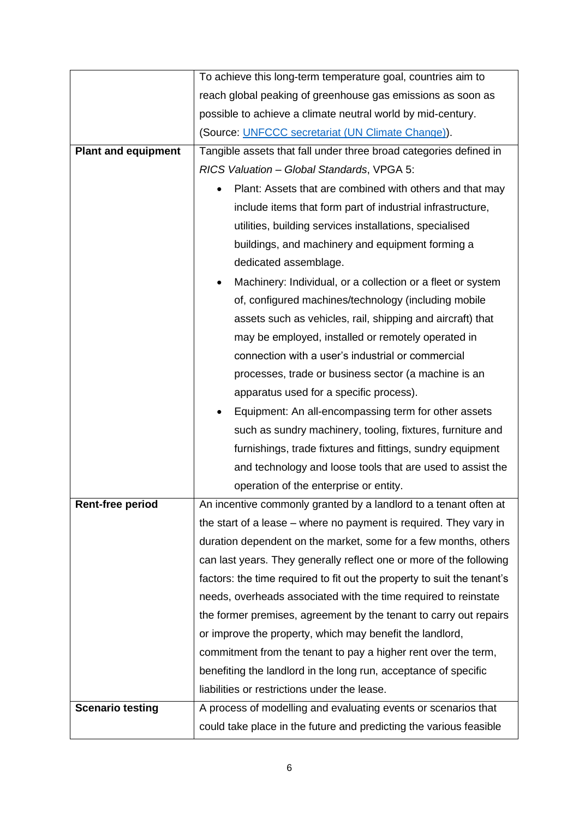|                            | To achieve this long-term temperature goal, countries aim to            |  |  |  |  |  |  |  |  |
|----------------------------|-------------------------------------------------------------------------|--|--|--|--|--|--|--|--|
|                            | reach global peaking of greenhouse gas emissions as soon as             |  |  |  |  |  |  |  |  |
|                            | possible to achieve a climate neutral world by mid-century.             |  |  |  |  |  |  |  |  |
|                            | (Source: UNFCCC secretariat (UN Climate Change)).                       |  |  |  |  |  |  |  |  |
| <b>Plant and equipment</b> | Tangible assets that fall under three broad categories defined in       |  |  |  |  |  |  |  |  |
|                            | RICS Valuation - Global Standards, VPGA 5:                              |  |  |  |  |  |  |  |  |
|                            | Plant: Assets that are combined with others and that may                |  |  |  |  |  |  |  |  |
|                            | include items that form part of industrial infrastructure,              |  |  |  |  |  |  |  |  |
|                            | utilities, building services installations, specialised                 |  |  |  |  |  |  |  |  |
|                            | buildings, and machinery and equipment forming a                        |  |  |  |  |  |  |  |  |
|                            | dedicated assemblage.                                                   |  |  |  |  |  |  |  |  |
|                            | Machinery: Individual, or a collection or a fleet or system             |  |  |  |  |  |  |  |  |
|                            | of, configured machines/technology (including mobile                    |  |  |  |  |  |  |  |  |
|                            | assets such as vehicles, rail, shipping and aircraft) that              |  |  |  |  |  |  |  |  |
|                            | may be employed, installed or remotely operated in                      |  |  |  |  |  |  |  |  |
|                            | connection with a user's industrial or commercial                       |  |  |  |  |  |  |  |  |
|                            | processes, trade or business sector (a machine is an                    |  |  |  |  |  |  |  |  |
|                            | apparatus used for a specific process).                                 |  |  |  |  |  |  |  |  |
|                            | Equipment: An all-encompassing term for other assets                    |  |  |  |  |  |  |  |  |
|                            | such as sundry machinery, tooling, fixtures, furniture and              |  |  |  |  |  |  |  |  |
|                            | furnishings, trade fixtures and fittings, sundry equipment              |  |  |  |  |  |  |  |  |
|                            | and technology and loose tools that are used to assist the              |  |  |  |  |  |  |  |  |
|                            | operation of the enterprise or entity.                                  |  |  |  |  |  |  |  |  |
| <b>Rent-free period</b>    | An incentive commonly granted by a landlord to a tenant often at        |  |  |  |  |  |  |  |  |
|                            | the start of a lease – where no payment is required. They vary in       |  |  |  |  |  |  |  |  |
|                            | duration dependent on the market, some for a few months, others         |  |  |  |  |  |  |  |  |
|                            | can last years. They generally reflect one or more of the following     |  |  |  |  |  |  |  |  |
|                            | factors: the time required to fit out the property to suit the tenant's |  |  |  |  |  |  |  |  |
|                            | needs, overheads associated with the time required to reinstate         |  |  |  |  |  |  |  |  |
|                            | the former premises, agreement by the tenant to carry out repairs       |  |  |  |  |  |  |  |  |
|                            | or improve the property, which may benefit the landlord,                |  |  |  |  |  |  |  |  |
|                            | commitment from the tenant to pay a higher rent over the term,          |  |  |  |  |  |  |  |  |
|                            | benefiting the landlord in the long run, acceptance of specific         |  |  |  |  |  |  |  |  |
|                            | liabilities or restrictions under the lease.                            |  |  |  |  |  |  |  |  |
| <b>Scenario testing</b>    | A process of modelling and evaluating events or scenarios that          |  |  |  |  |  |  |  |  |
|                            | could take place in the future and predicting the various feasible      |  |  |  |  |  |  |  |  |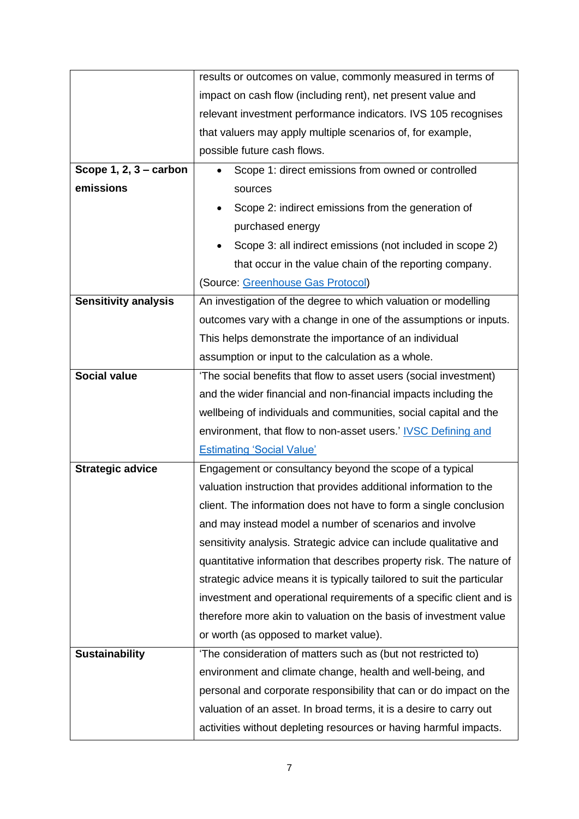|                             | results or outcomes on value, commonly measured in terms of            |  |  |  |  |  |  |  |  |
|-----------------------------|------------------------------------------------------------------------|--|--|--|--|--|--|--|--|
|                             | impact on cash flow (including rent), net present value and            |  |  |  |  |  |  |  |  |
|                             | relevant investment performance indicators. IVS 105 recognises         |  |  |  |  |  |  |  |  |
|                             | that valuers may apply multiple scenarios of, for example,             |  |  |  |  |  |  |  |  |
|                             | possible future cash flows.                                            |  |  |  |  |  |  |  |  |
| Scope $1, 2, 3$ – carbon    | Scope 1: direct emissions from owned or controlled                     |  |  |  |  |  |  |  |  |
| emissions                   | sources                                                                |  |  |  |  |  |  |  |  |
|                             | Scope 2: indirect emissions from the generation of                     |  |  |  |  |  |  |  |  |
|                             | purchased energy                                                       |  |  |  |  |  |  |  |  |
|                             | Scope 3: all indirect emissions (not included in scope 2)              |  |  |  |  |  |  |  |  |
|                             | that occur in the value chain of the reporting company.                |  |  |  |  |  |  |  |  |
|                             | (Source: Greenhouse Gas Protocol)                                      |  |  |  |  |  |  |  |  |
| <b>Sensitivity analysis</b> | An investigation of the degree to which valuation or modelling         |  |  |  |  |  |  |  |  |
|                             | outcomes vary with a change in one of the assumptions or inputs.       |  |  |  |  |  |  |  |  |
|                             | This helps demonstrate the importance of an individual                 |  |  |  |  |  |  |  |  |
|                             | assumption or input to the calculation as a whole.                     |  |  |  |  |  |  |  |  |
| <b>Social value</b>         | 'The social benefits that flow to asset users (social investment)      |  |  |  |  |  |  |  |  |
|                             | and the wider financial and non-financial impacts including the        |  |  |  |  |  |  |  |  |
|                             | wellbeing of individuals and communities, social capital and the       |  |  |  |  |  |  |  |  |
|                             | environment, that flow to non-asset users.' IVSC Defining and          |  |  |  |  |  |  |  |  |
|                             | <b>Estimating 'Social Value'</b>                                       |  |  |  |  |  |  |  |  |
| <b>Strategic advice</b>     | Engagement or consultancy beyond the scope of a typical                |  |  |  |  |  |  |  |  |
|                             | valuation instruction that provides additional information to the      |  |  |  |  |  |  |  |  |
|                             | client. The information does not have to form a single conclusion      |  |  |  |  |  |  |  |  |
|                             | and may instead model a number of scenarios and involve                |  |  |  |  |  |  |  |  |
|                             | sensitivity analysis. Strategic advice can include qualitative and     |  |  |  |  |  |  |  |  |
|                             | quantitative information that describes property risk. The nature of   |  |  |  |  |  |  |  |  |
|                             | strategic advice means it is typically tailored to suit the particular |  |  |  |  |  |  |  |  |
|                             | investment and operational requirements of a specific client and is    |  |  |  |  |  |  |  |  |
|                             | therefore more akin to valuation on the basis of investment value      |  |  |  |  |  |  |  |  |
|                             | or worth (as opposed to market value).                                 |  |  |  |  |  |  |  |  |
| <b>Sustainability</b>       | 'The consideration of matters such as (but not restricted to)          |  |  |  |  |  |  |  |  |
|                             | environment and climate change, health and well-being, and             |  |  |  |  |  |  |  |  |
|                             | personal and corporate responsibility that can or do impact on the     |  |  |  |  |  |  |  |  |
|                             | valuation of an asset. In broad terms, it is a desire to carry out     |  |  |  |  |  |  |  |  |
|                             | activities without depleting resources or having harmful impacts.      |  |  |  |  |  |  |  |  |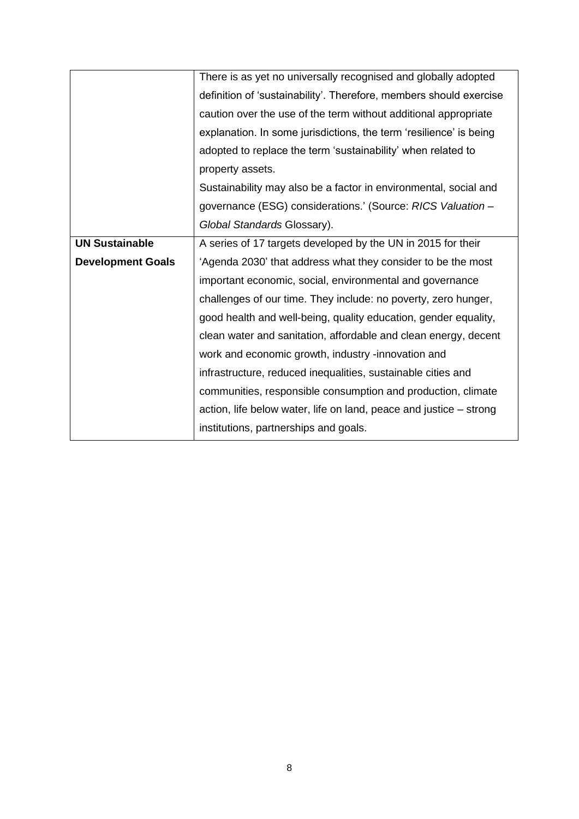|                          | There is as yet no universally recognised and globally adopted     |  |  |  |  |  |
|--------------------------|--------------------------------------------------------------------|--|--|--|--|--|
|                          | definition of 'sustainability'. Therefore, members should exercise |  |  |  |  |  |
|                          | caution over the use of the term without additional appropriate    |  |  |  |  |  |
|                          | explanation. In some jurisdictions, the term 'resilience' is being |  |  |  |  |  |
|                          | adopted to replace the term 'sustainability' when related to       |  |  |  |  |  |
|                          | property assets.                                                   |  |  |  |  |  |
|                          | Sustainability may also be a factor in environmental, social and   |  |  |  |  |  |
|                          | governance (ESG) considerations.' (Source: RICS Valuation -        |  |  |  |  |  |
|                          | Global Standards Glossary).                                        |  |  |  |  |  |
| <b>UN Sustainable</b>    | A series of 17 targets developed by the UN in 2015 for their       |  |  |  |  |  |
| <b>Development Goals</b> | 'Agenda 2030' that address what they consider to be the most       |  |  |  |  |  |
|                          | important economic, social, environmental and governance           |  |  |  |  |  |
|                          | challenges of our time. They include: no poverty, zero hunger,     |  |  |  |  |  |
|                          | good health and well-being, quality education, gender equality,    |  |  |  |  |  |
|                          | clean water and sanitation, affordable and clean energy, decent    |  |  |  |  |  |
|                          | work and economic growth, industry -innovation and                 |  |  |  |  |  |
|                          | infrastructure, reduced inequalities, sustainable cities and       |  |  |  |  |  |
|                          | communities, responsible consumption and production, climate       |  |  |  |  |  |
|                          | action, life below water, life on land, peace and justice – strong |  |  |  |  |  |
|                          | institutions, partnerships and goals.                              |  |  |  |  |  |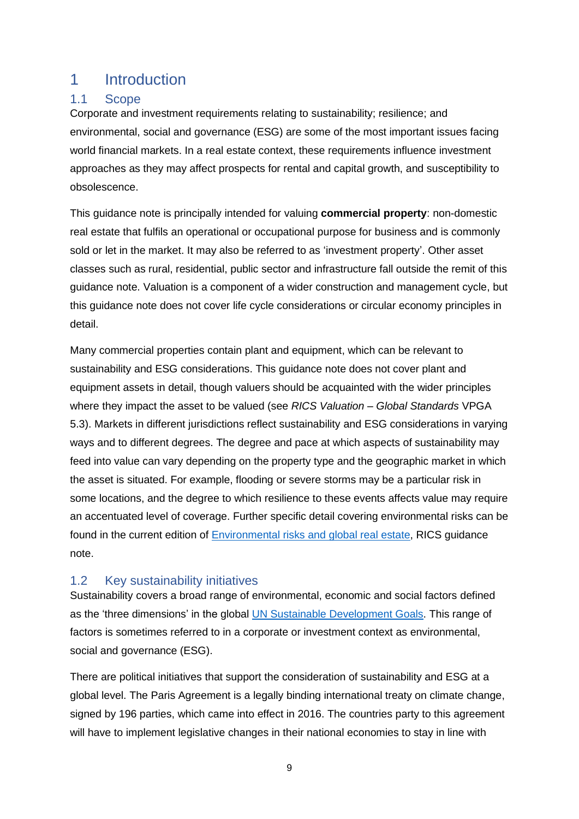## 1 Introduction

## 1.1 Scope

Corporate and investment requirements relating to sustainability; resilience; and environmental, social and governance (ESG) are some of the most important issues facing world financial markets. In a real estate context, these requirements influence investment approaches as they may affect prospects for rental and capital growth, and susceptibility to obsolescence.

This guidance note is principally intended for valuing **commercial property**: non-domestic real estate that fulfils an operational or occupational purpose for business and is commonly sold or let in the market. It may also be referred to as 'investment property'. Other asset classes such as rural, residential, public sector and infrastructure fall outside the remit of this guidance note. Valuation is a component of a wider construction and management cycle, but this guidance note does not cover life cycle considerations or circular economy principles in detail.

Many commercial properties contain plant and equipment, which can be relevant to sustainability and ESG considerations. This guidance note does not cover plant and equipment assets in detail, though valuers should be acquainted with the wider principles where they impact the asset to be valued (see *RICS Valuation – Global Standards* VPGA 5.3). Markets in different jurisdictions reflect sustainability and ESG considerations in varying ways and to different degrees. The degree and pace at which aspects of sustainability may feed into value can vary depending on the property type and the geographic market in which the asset is situated. For example, flooding or severe storms may be a particular risk in some locations, and the degree to which resilience to these events affects value may require an accentuated level of coverage. Further specific detail covering environmental risks can be found in the current edition of [Environmental risks and global real estate,](https://www.rics.org/globalassets/rics-website/media/upholding-professional-standards/sector-standards/land/environmental-risks-and-global-real-estate-1st-edition-november-2018.pdf) RICS guidance note.

### 1.2 Key sustainability initiatives

Sustainability covers a broad range of environmental, economic and social factors defined as the 'three dimensions' in the global [UN Sustainable Development Goals.](https://sdgs.un.org/2030agenda) This range of factors is sometimes referred to in a corporate or investment context as environmental, social and governance (ESG).

There are political initiatives that support the consideration of sustainability and ESG at a global level. The Paris Agreement is a legally binding international treaty on climate change, signed by 196 parties, which came into effect in 2016. The countries party to this agreement will have to implement legislative changes in their national economies to stay in line with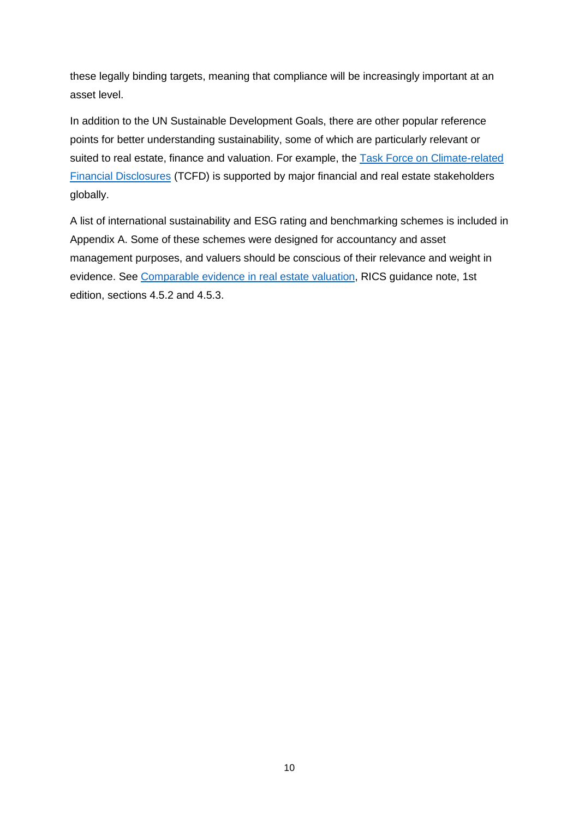these legally binding targets, meaning that compliance will be increasingly important at an asset level.

In addition to the UN Sustainable Development Goals, there are other popular reference points for better understanding sustainability, some of which are particularly relevant or suited to real estate, finance and valuation. For example, the [Task Force on Climate-related](https://www.fsb-tcfd.org/)  [Financial Disclosures](https://www.fsb-tcfd.org/) (TCFD) is supported by major financial and real estate stakeholders globally.

A list of international sustainability and ESG rating and benchmarking schemes is included in Appendix A. Some of these schemes were designed for accountancy and asset management purposes, and valuers should be conscious of their relevance and weight in evidence. See [Comparable evidence in real estate valuation,](https://www.rics.org/uk/upholding-professional-standards/sector-standards/valuation/comparable-evidence-in-real-estate-valuation/) RICS guidance note, 1st edition, sections 4.5.2 and 4.5.3.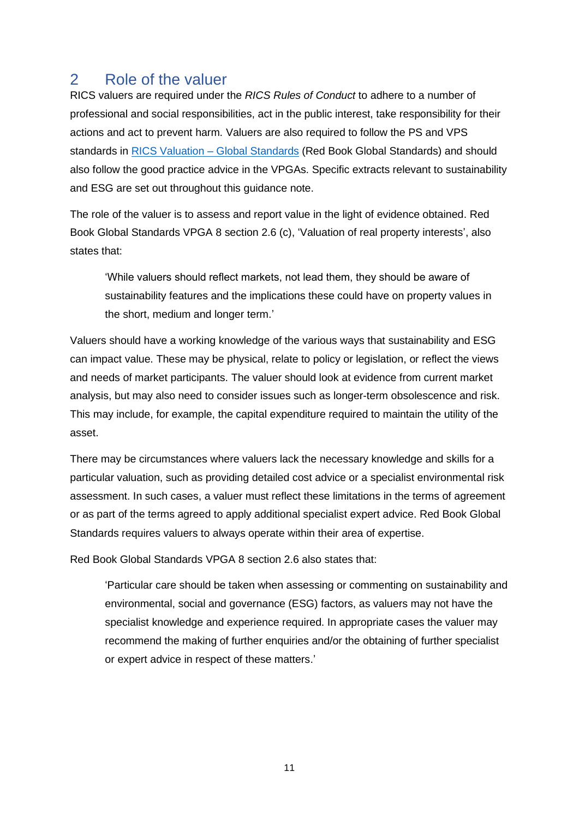## 2 Role of the valuer

RICS valuers are required under the *RICS Rules of Conduct* to adhere to a number of professional and social responsibilities, act in the public interest, take responsibility for their actions and act to prevent harm. Valuers are also required to follow the PS and VPS standards in [RICS Valuation –](https://www.rics.org/uk/upholding-professional-standards/sector-standards/valuation/red-book/red-book-global/) Global Standards (Red Book Global Standards) and should also follow the good practice advice in the VPGAs. Specific extracts relevant to sustainability and ESG are set out throughout this guidance note.

The role of the valuer is to assess and report value in the light of evidence obtained. Red Book Global Standards VPGA 8 section 2.6 (c), 'Valuation of real property interests', also states that:

'While valuers should reflect markets, not lead them, they should be aware of sustainability features and the implications these could have on property values in the short, medium and longer term.'

Valuers should have a working knowledge of the various ways that sustainability and ESG can impact value. These may be physical, relate to policy or legislation, or reflect the views and needs of market participants. The valuer should look at evidence from current market analysis, but may also need to consider issues such as longer-term obsolescence and risk. This may include, for example, the capital expenditure required to maintain the utility of the asset.

There may be circumstances where valuers lack the necessary knowledge and skills for a particular valuation, such as providing detailed cost advice or a specialist environmental risk assessment. In such cases, a valuer must reflect these limitations in the terms of agreement or as part of the terms agreed to apply additional specialist expert advice. Red Book Global Standards requires valuers to always operate within their area of expertise.

Red Book Global Standards VPGA 8 section 2.6 also states that:

'Particular care should be taken when assessing or commenting on sustainability and environmental, social and governance (ESG) factors, as valuers may not have the specialist knowledge and experience required. In appropriate cases the valuer may recommend the making of further enquiries and/or the obtaining of further specialist or expert advice in respect of these matters.'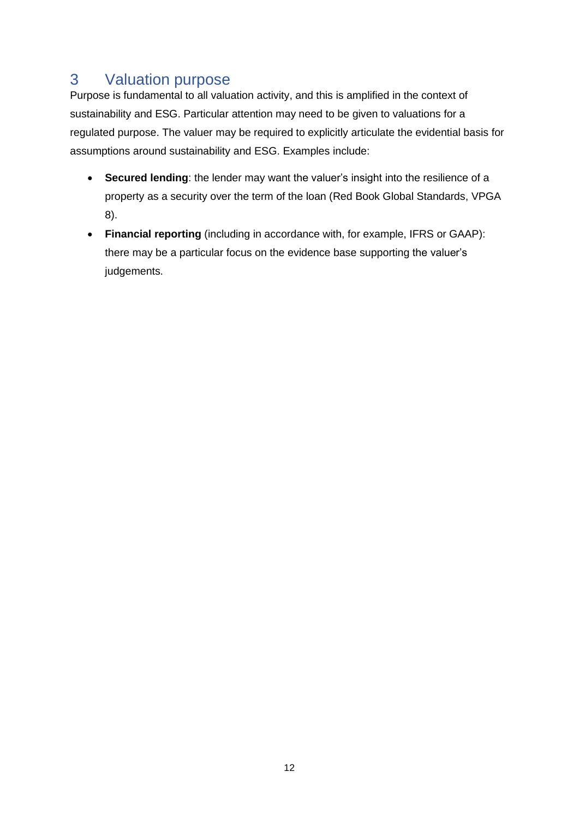# 3 Valuation purpose

Purpose is fundamental to all valuation activity, and this is amplified in the context of sustainability and ESG. Particular attention may need to be given to valuations for a regulated purpose. The valuer may be required to explicitly articulate the evidential basis for assumptions around sustainability and ESG. Examples include:

- **Secured lending**: the lender may want the valuer's insight into the resilience of a property as a security over the term of the loan (Red Book Global Standards, VPGA 8).
- **Financial reporting** (including in accordance with, for example, IFRS or GAAP): there may be a particular focus on the evidence base supporting the valuer's judgements.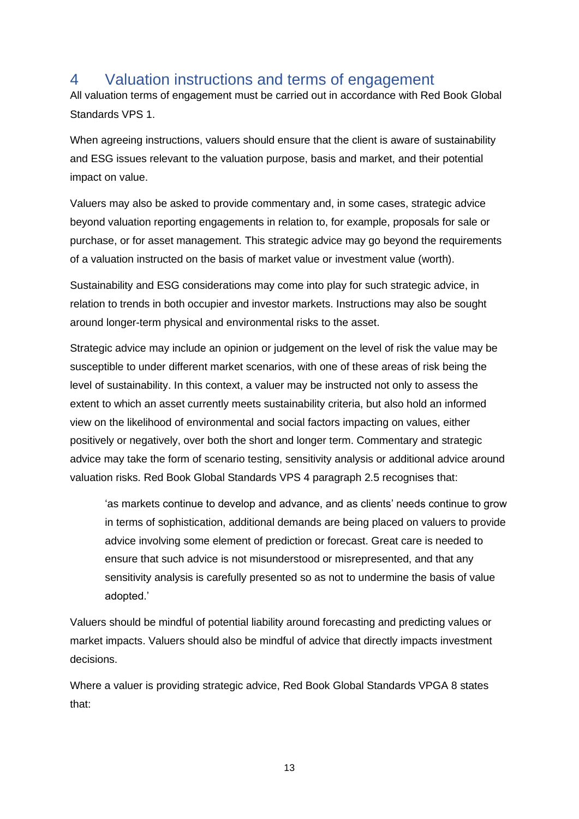## 4 Valuation instructions and terms of engagement

All valuation terms of engagement must be carried out in accordance with Red Book Global Standards VPS 1.

When agreeing instructions, valuers should ensure that the client is aware of sustainability and ESG issues relevant to the valuation purpose, basis and market, and their potential impact on value.

Valuers may also be asked to provide commentary and, in some cases, strategic advice beyond valuation reporting engagements in relation to, for example, proposals for sale or purchase, or for asset management. This strategic advice may go beyond the requirements of a valuation instructed on the basis of market value or investment value (worth).

Sustainability and ESG considerations may come into play for such strategic advice, in relation to trends in both occupier and investor markets. Instructions may also be sought around longer-term physical and environmental risks to the asset.

Strategic advice may include an opinion or judgement on the level of risk the value may be susceptible to under different market scenarios, with one of these areas of risk being the level of sustainability. In this context, a valuer may be instructed not only to assess the extent to which an asset currently meets sustainability criteria, but also hold an informed view on the likelihood of environmental and social factors impacting on values, either positively or negatively, over both the short and longer term. Commentary and strategic advice may take the form of scenario testing, sensitivity analysis or additional advice around valuation risks. Red Book Global Standards VPS 4 paragraph 2.5 recognises that:

'as markets continue to develop and advance, and as clients' needs continue to grow in terms of sophistication, additional demands are being placed on valuers to provide advice involving some element of prediction or forecast. Great care is needed to ensure that such advice is not misunderstood or misrepresented, and that any sensitivity analysis is carefully presented so as not to undermine the basis of value adopted.'

Valuers should be mindful of potential liability around forecasting and predicting values or market impacts. Valuers should also be mindful of advice that directly impacts investment decisions.

Where a valuer is providing strategic advice, Red Book Global Standards VPGA 8 states that:

13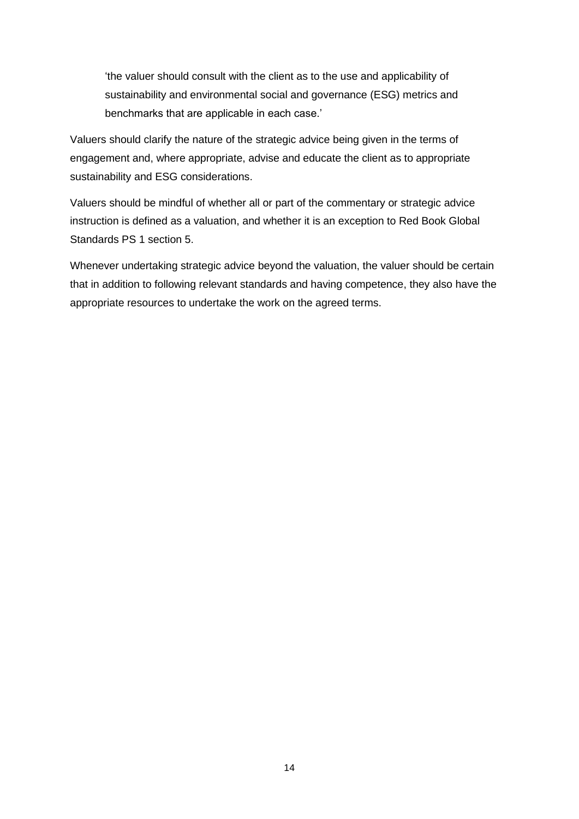'the valuer should consult with the client as to the use and applicability of sustainability and environmental social and governance (ESG) metrics and benchmarks that are applicable in each case.'

Valuers should clarify the nature of the strategic advice being given in the terms of engagement and, where appropriate, advise and educate the client as to appropriate sustainability and ESG considerations.

Valuers should be mindful of whether all or part of the commentary or strategic advice instruction is defined as a valuation, and whether it is an exception to Red Book Global Standards PS 1 section 5.

Whenever undertaking strategic advice beyond the valuation, the valuer should be certain that in addition to following relevant standards and having competence, they also have the appropriate resources to undertake the work on the agreed terms.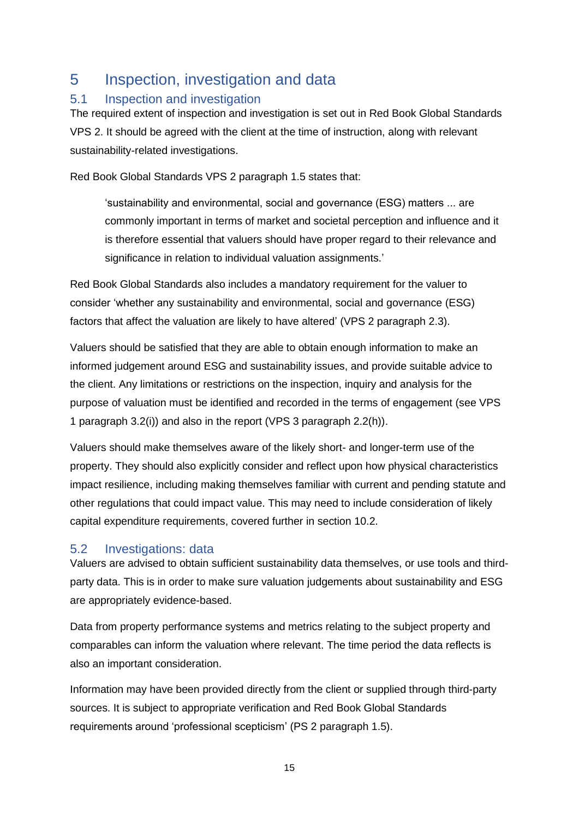## 5 Inspection, investigation and data

## 5.1 Inspection and investigation

The required extent of inspection and investigation is set out in Red Book Global Standards VPS 2. It should be agreed with the client at the time of instruction, along with relevant sustainability-related investigations.

Red Book Global Standards VPS 2 paragraph 1.5 states that:

'sustainability and environmental, social and governance (ESG) matters ... are commonly important in terms of market and societal perception and influence and it is therefore essential that valuers should have proper regard to their relevance and significance in relation to individual valuation assignments.'

Red Book Global Standards also includes a mandatory requirement for the valuer to consider 'whether any sustainability and environmental, social and governance (ESG) factors that affect the valuation are likely to have altered' (VPS 2 paragraph 2.3).

Valuers should be satisfied that they are able to obtain enough information to make an informed judgement around ESG and sustainability issues, and provide suitable advice to the client. Any limitations or restrictions on the inspection, inquiry and analysis for the purpose of valuation must be identified and recorded in the terms of engagement (see VPS 1 paragraph 3.2(i)) and also in the report (VPS 3 paragraph 2.2(h)).

Valuers should make themselves aware of the likely short- and longer-term use of the property. They should also explicitly consider and reflect upon how physical characteristics impact resilience, including making themselves familiar with current and pending statute and other regulations that could impact value. This may need to include consideration of likely capital expenditure requirements, covered further in section 10.2.

## 5.2 Investigations: data

Valuers are advised to obtain sufficient sustainability data themselves, or use tools and thirdparty data. This is in order to make sure valuation judgements about sustainability and ESG are appropriately evidence-based.

Data from property performance systems and metrics relating to the subject property and comparables can inform the valuation where relevant. The time period the data reflects is also an important consideration.

Information may have been provided directly from the client or supplied through third-party sources. It is subject to appropriate verification and Red Book Global Standards requirements around 'professional scepticism' (PS 2 paragraph 1.5).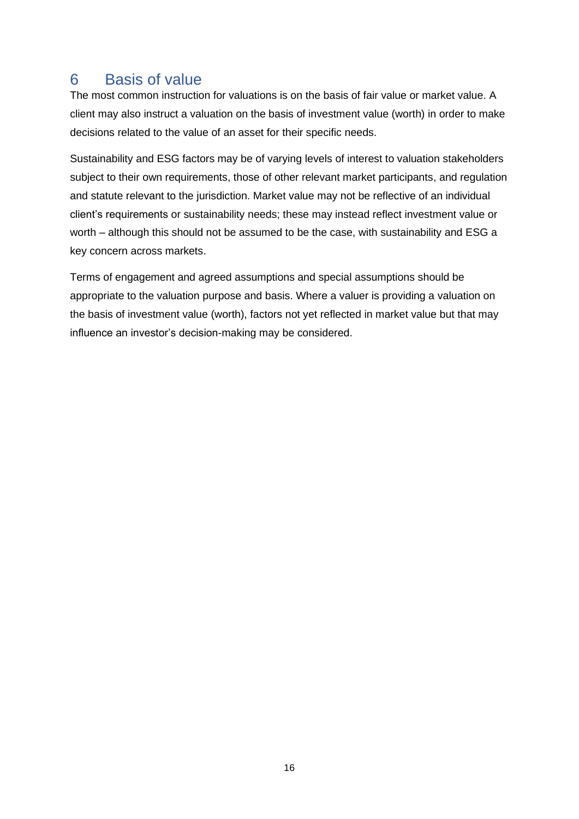## 6 Basis of value

The most common instruction for valuations is on the basis of fair value or market value. A client may also instruct a valuation on the basis of investment value (worth) in order to make decisions related to the value of an asset for their specific needs.

Sustainability and ESG factors may be of varying levels of interest to valuation stakeholders subject to their own requirements, those of other relevant market participants, and regulation and statute relevant to the jurisdiction. Market value may not be reflective of an individual client's requirements or sustainability needs; these may instead reflect investment value or worth – although this should not be assumed to be the case, with sustainability and ESG a key concern across markets.

Terms of engagement and agreed assumptions and special assumptions should be appropriate to the valuation purpose and basis. Where a valuer is providing a valuation on the basis of investment value (worth), factors not yet reflected in market value but that may influence an investor's decision-making may be considered.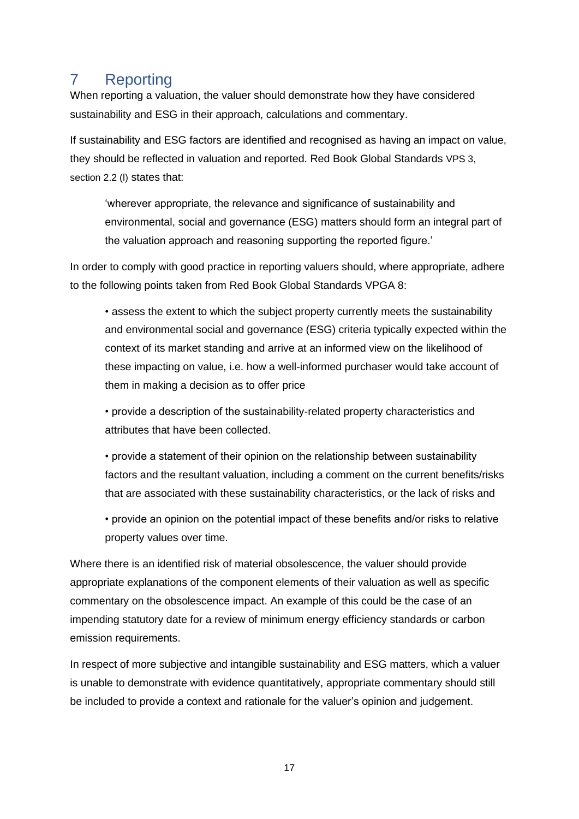# 7 Reporting

When reporting a valuation, the valuer should demonstrate how they have considered sustainability and ESG in their approach, calculations and commentary.

If sustainability and ESG factors are identified and recognised as having an impact on value, they should be reflected in valuation and reported. Red Book Global Standards VPS 3, section 2.2 (I) states that:

'wherever appropriate, the relevance and significance of sustainability and environmental, social and governance (ESG) matters should form an integral part of the valuation approach and reasoning supporting the reported figure.'

In order to comply with good practice in reporting valuers should, where appropriate, adhere to the following points taken from Red Book Global Standards VPGA 8:

*•* assess the extent to which the subject property currently meets the sustainability and environmental social and governance (ESG) criteria typically expected within the context of its market standing and arrive at an informed view on the likelihood of these impacting on value, i.e. how a well-informed purchaser would take account of them in making a decision as to offer price

• provide a description of the sustainability-related property characteristics and attributes that have been collected.

• provide a statement of their opinion on the relationship between sustainability factors and the resultant valuation, including a comment on the current benefits/risks that are associated with these sustainability characteristics, or the lack of risks and

• provide an opinion on the potential impact of these benefits and/or risks to relative property values over time.

Where there is an identified risk of material obsolescence, the valuer should provide appropriate explanations of the component elements of their valuation as well as specific commentary on the obsolescence impact. An example of this could be the case of an impending statutory date for a review of minimum energy efficiency standards or carbon emission requirements.

In respect of more subjective and intangible sustainability and ESG matters, which a valuer is unable to demonstrate with evidence quantitatively, appropriate commentary should still be included to provide a context and rationale for the valuer's opinion and judgement.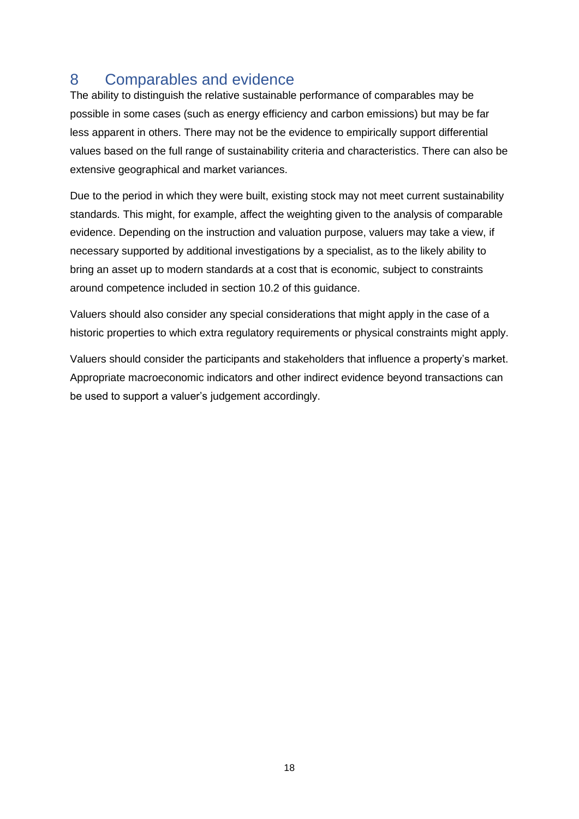## 8 Comparables and evidence

The ability to distinguish the relative sustainable performance of comparables may be possible in some cases (such as energy efficiency and carbon emissions) but may be far less apparent in others. There may not be the evidence to empirically support differential values based on the full range of sustainability criteria and characteristics. There can also be extensive geographical and market variances.

Due to the period in which they were built, existing stock may not meet current sustainability standards. This might, for example, affect the weighting given to the analysis of comparable evidence. Depending on the instruction and valuation purpose, valuers may take a view, if necessary supported by additional investigations by a specialist, as to the likely ability to bring an asset up to modern standards at a cost that is economic, subject to constraints around competence included in section 10.2 of this guidance.

Valuers should also consider any special considerations that might apply in the case of a historic properties to which extra regulatory requirements or physical constraints might apply.

Valuers should consider the participants and stakeholders that influence a property's market. Appropriate macroeconomic indicators and other indirect evidence beyond transactions can be used to support a valuer's judgement accordingly.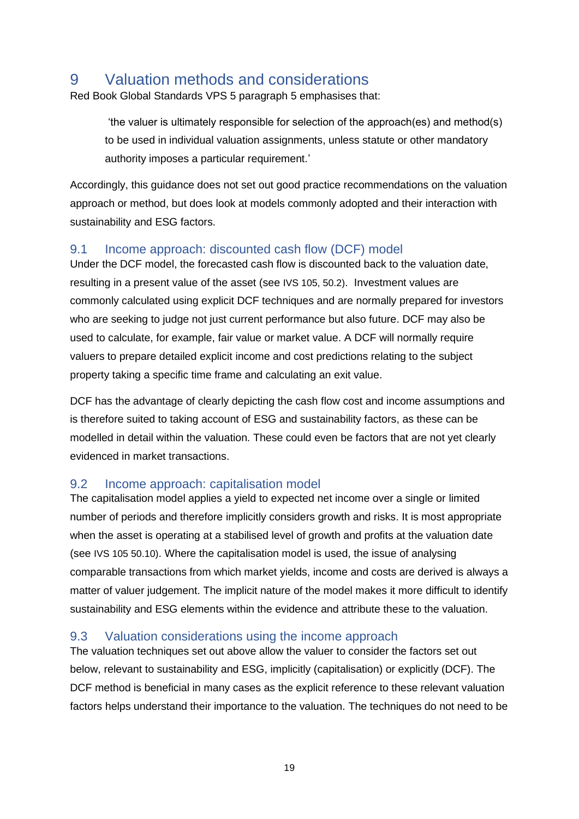## 9 Valuation methods and considerations

Red Book Global Standards VPS 5 paragraph 5 emphasises that:

'the valuer is ultimately responsible for selection of the approach(es) and method(s) to be used in individual valuation assignments, unless statute or other mandatory authority imposes a particular requirement.'

Accordingly, this guidance does not set out good practice recommendations on the valuation approach or method, but does look at models commonly adopted and their interaction with sustainability and ESG factors.

## 9.1 Income approach: discounted cash flow (DCF) model

Under the DCF model, the forecasted cash flow is discounted back to the valuation date, resulting in a present value of the asset (see IVS 105, 50.2). Investment values are commonly calculated using explicit DCF techniques and are normally prepared for investors who are seeking to judge not just current performance but also future. DCF may also be used to calculate, for example, fair value or market value. A DCF will normally require valuers to prepare detailed explicit income and cost predictions relating to the subject property taking a specific time frame and calculating an exit value.

DCF has the advantage of clearly depicting the cash flow cost and income assumptions and is therefore suited to taking account of ESG and sustainability factors, as these can be modelled in detail within the valuation. These could even be factors that are not yet clearly evidenced in market transactions.

## 9.2 Income approach: capitalisation model

The capitalisation model applies a yield to expected net income over a single or limited number of periods and therefore implicitly considers growth and risks. It is most appropriate when the asset is operating at a stabilised level of growth and profits at the valuation date (see IVS 105 50.10). Where the capitalisation model is used, the issue of analysing comparable transactions from which market yields, income and costs are derived is always a matter of valuer judgement. The implicit nature of the model makes it more difficult to identify sustainability and ESG elements within the evidence and attribute these to the valuation.

## 9.3 Valuation considerations using the income approach

The valuation techniques set out above allow the valuer to consider the factors set out below, relevant to sustainability and ESG, implicitly (capitalisation) or explicitly (DCF). The DCF method is beneficial in many cases as the explicit reference to these relevant valuation factors helps understand their importance to the valuation. The techniques do not need to be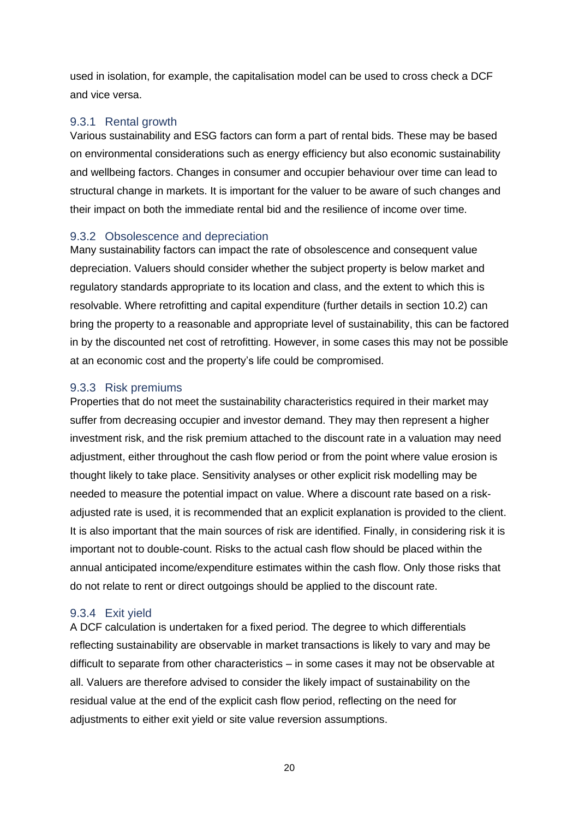used in isolation, for example, the capitalisation model can be used to cross check a DCF and vice versa.

### 9.3.1 Rental growth

Various sustainability and ESG factors can form a part of rental bids. These may be based on environmental considerations such as energy efficiency but also economic sustainability and wellbeing factors. Changes in consumer and occupier behaviour over time can lead to structural change in markets. It is important for the valuer to be aware of such changes and their impact on both the immediate rental bid and the resilience of income over time.

#### 9.3.2 Obsolescence and depreciation

Many sustainability factors can impact the rate of obsolescence and consequent value depreciation. Valuers should consider whether the subject property is below market and regulatory standards appropriate to its location and class, and the extent to which this is resolvable. Where retrofitting and capital expenditure (further details in section 10.2) can bring the property to a reasonable and appropriate level of sustainability, this can be factored in by the discounted net cost of retrofitting. However, in some cases this may not be possible at an economic cost and the property's life could be compromised.

#### 9.3.3 Risk premiums

Properties that do not meet the sustainability characteristics required in their market may suffer from decreasing occupier and investor demand. They may then represent a higher investment risk, and the risk premium attached to the discount rate in a valuation may need adjustment, either throughout the cash flow period or from the point where value erosion is thought likely to take place. Sensitivity analyses or other explicit risk modelling may be needed to measure the potential impact on value. Where a discount rate based on a riskadjusted rate is used, it is recommended that an explicit explanation is provided to the client. It is also important that the main sources of risk are identified. Finally, in considering risk it is important not to double-count. Risks to the actual cash flow should be placed within the annual anticipated income/expenditure estimates within the cash flow. Only those risks that do not relate to rent or direct outgoings should be applied to the discount rate.

#### 9.3.4 Exit yield

A DCF calculation is undertaken for a fixed period. The degree to which differentials reflecting sustainability are observable in market transactions is likely to vary and may be difficult to separate from other characteristics – in some cases it may not be observable at all. Valuers are therefore advised to consider the likely impact of sustainability on the residual value at the end of the explicit cash flow period, reflecting on the need for adjustments to either exit yield or site value reversion assumptions.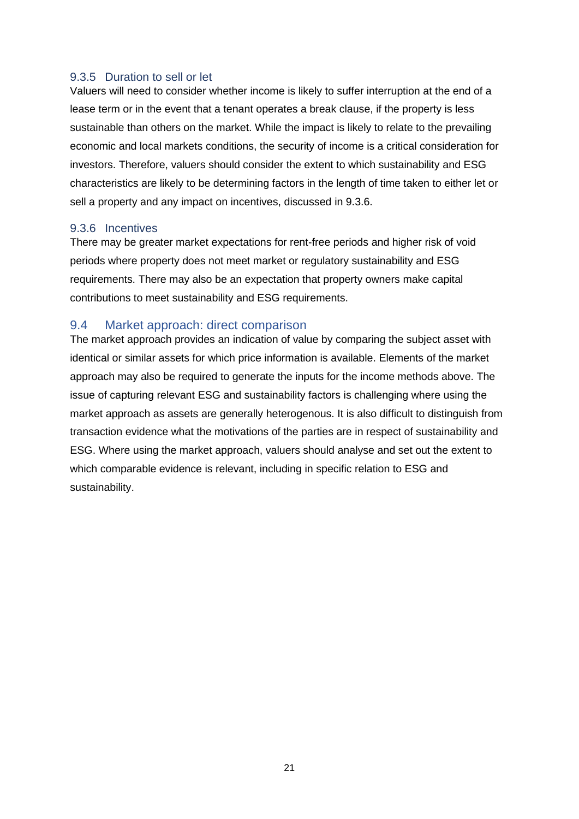#### 9.3.5 Duration to sell or let

Valuers will need to consider whether income is likely to suffer interruption at the end of a lease term or in the event that a tenant operates a break clause, if the property is less sustainable than others on the market. While the impact is likely to relate to the prevailing economic and local markets conditions, the security of income is a critical consideration for investors. Therefore, valuers should consider the extent to which sustainability and ESG characteristics are likely to be determining factors in the length of time taken to either let or sell a property and any impact on incentives, discussed in 9.3.6.

#### 9.3.6 Incentives

There may be greater market expectations for rent-free periods and higher risk of void periods where property does not meet market or regulatory sustainability and ESG requirements. There may also be an expectation that property owners make capital contributions to meet sustainability and ESG requirements.

#### 9.4 Market approach: direct comparison

The market approach provides an indication of value by comparing the subject asset with identical or similar assets for which price information is available. Elements of the market approach may also be required to generate the inputs for the income methods above. The issue of capturing relevant ESG and sustainability factors is challenging where using the market approach as assets are generally heterogenous. It is also difficult to distinguish from transaction evidence what the motivations of the parties are in respect of sustainability and ESG. Where using the market approach, valuers should analyse and set out the extent to which comparable evidence is relevant, including in specific relation to ESG and sustainability.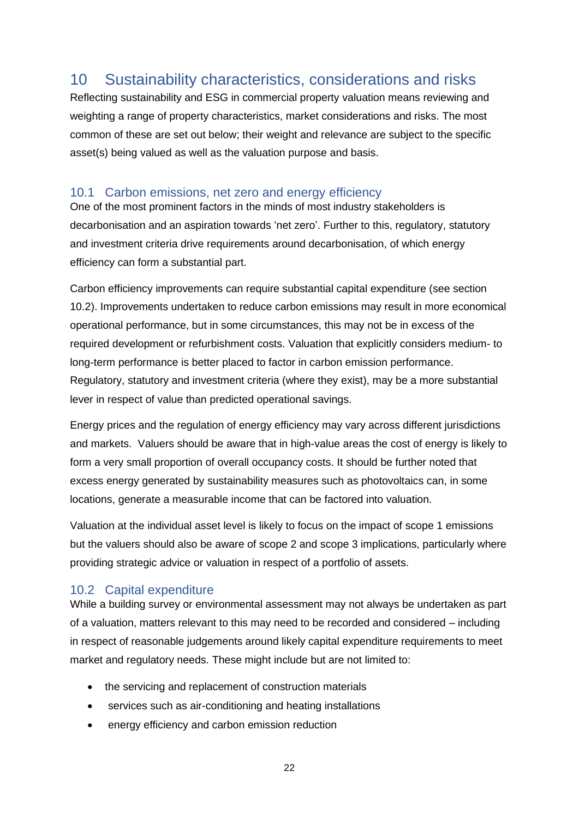## 10 Sustainability characteristics, considerations and risks

Reflecting sustainability and ESG in commercial property valuation means reviewing and weighting a range of property characteristics, market considerations and risks. The most common of these are set out below; their weight and relevance are subject to the specific asset(s) being valued as well as the valuation purpose and basis.

## 10.1 Carbon emissions, net zero and energy efficiency

One of the most prominent factors in the minds of most industry stakeholders is decarbonisation and an aspiration towards 'net zero'. Further to this, regulatory, statutory and investment criteria drive requirements around decarbonisation, of which energy efficiency can form a substantial part.

Carbon efficiency improvements can require substantial capital expenditure (see section 10.2). Improvements undertaken to reduce carbon emissions may result in more economical operational performance, but in some circumstances, this may not be in excess of the required development or refurbishment costs. Valuation that explicitly considers medium- to long-term performance is better placed to factor in carbon emission performance. Regulatory, statutory and investment criteria (where they exist), may be a more substantial lever in respect of value than predicted operational savings.

Energy prices and the regulation of energy efficiency may vary across different jurisdictions and markets. Valuers should be aware that in high-value areas the cost of energy is likely to form a very small proportion of overall occupancy costs. It should be further noted that excess energy generated by sustainability measures such as photovoltaics can, in some locations, generate a measurable income that can be factored into valuation.

Valuation at the individual asset level is likely to focus on the impact of scope 1 emissions but the valuers should also be aware of scope 2 and scope 3 implications, particularly where providing strategic advice or valuation in respect of a portfolio of assets.

### 10.2 Capital expenditure

While a building survey or environmental assessment may not always be undertaken as part of a valuation, matters relevant to this may need to be recorded and considered – including in respect of reasonable judgements around likely capital expenditure requirements to meet market and regulatory needs. These might include but are not limited to:

- the servicing and replacement of construction materials
- services such as air-conditioning and heating installations
- energy efficiency and carbon emission reduction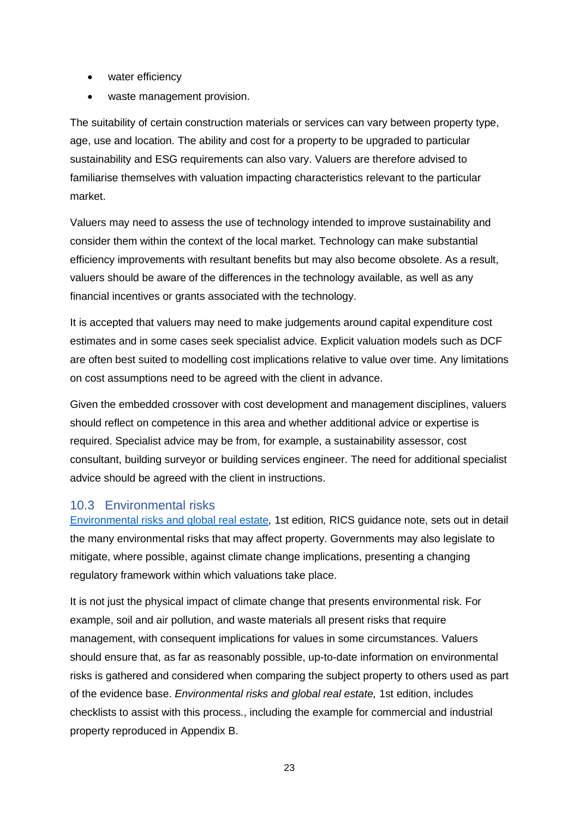- water efficiency
- waste management provision.

The suitability of certain construction materials or services can vary between property type, age, use and location. The ability and cost for a property to be upgraded to particular sustainability and ESG requirements can also vary. Valuers are therefore advised to familiarise themselves with valuation impacting characteristics relevant to the particular market.

Valuers may need to assess the use of technology intended to improve sustainability and consider them within the context of the local market. Technology can make substantial efficiency improvements with resultant benefits but may also become obsolete. As a result, valuers should be aware of the differences in the technology available, as well as any financial incentives or grants associated with the technology.

It is accepted that valuers may need to make judgements around capital expenditure cost estimates and in some cases seek specialist advice. Explicit valuation models such as DCF are often best suited to modelling cost implications relative to value over time. Any limitations on cost assumptions need to be agreed with the client in advance.

Given the embedded crossover with cost development and management disciplines, valuers should reflect on competence in this area and whether additional advice or expertise is required. Specialist advice may be from, for example, a sustainability assessor, cost consultant, building surveyor or building services engineer. The need for additional specialist advice should be agreed with the client in instructions.

## 10.3 Environmental risks

[Environmental risks and global real estate](https://www.rics.org/uk/upholding-professional-standards/sector-standards/land/environmental-risks-and-global-real-estate/)*,* 1st edition*,* RICS guidance note, sets out in detail the many environmental risks that may affect property. Governments may also legislate to mitigate, where possible, against climate change implications, presenting a changing regulatory framework within which valuations take place.

It is not just the physical impact of climate change that presents environmental risk. For example, soil and air pollution, and waste materials all present risks that require management, with consequent implications for values in some circumstances. Valuers should ensure that, as far as reasonably possible, up-to-date information on environmental risks is gathered and considered when comparing the subject property to others used as part of the evidence base. *Environmental risks and global real estate,* 1st edition, includes checklists to assist with this process., including the example for commercial and industrial property reproduced in Appendix B.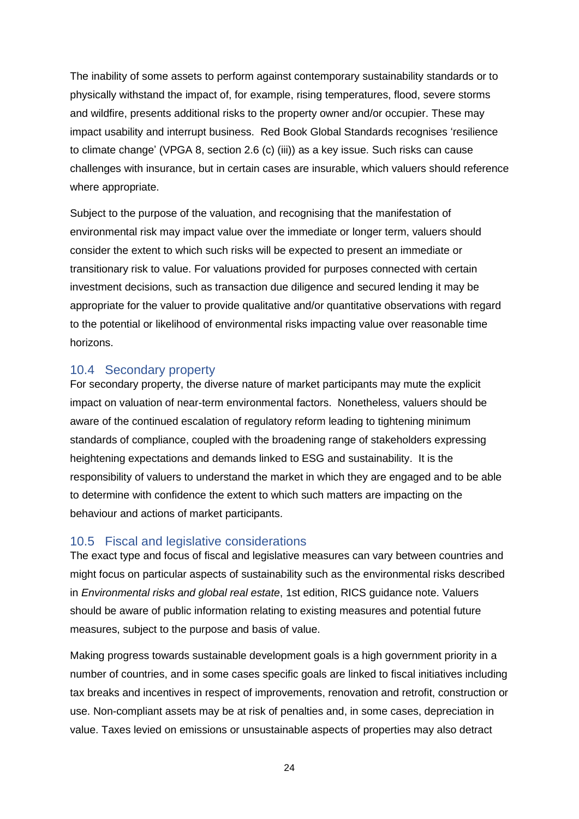The inability of some assets to perform against contemporary sustainability standards or to physically withstand the impact of, for example, rising temperatures, flood, severe storms and wildfire, presents additional risks to the property owner and/or occupier. These may impact usability and interrupt business. Red Book Global Standards recognises 'resilience to climate change' (VPGA 8, section 2.6 (c) (iii)) as a key issue. Such risks can cause challenges with insurance, but in certain cases are insurable, which valuers should reference where appropriate.

Subject to the purpose of the valuation, and recognising that the manifestation of environmental risk may impact value over the immediate or longer term, valuers should consider the extent to which such risks will be expected to present an immediate or transitionary risk to value. For valuations provided for purposes connected with certain investment decisions, such as transaction due diligence and secured lending it may be appropriate for the valuer to provide qualitative and/or quantitative observations with regard to the potential or likelihood of environmental risks impacting value over reasonable time horizons.

### 10.4 Secondary property

For secondary property, the diverse nature of market participants may mute the explicit impact on valuation of near-term environmental factors. Nonetheless, valuers should be aware of the continued escalation of regulatory reform leading to tightening minimum standards of compliance, coupled with the broadening range of stakeholders expressing heightening expectations and demands linked to ESG and sustainability. It is the responsibility of valuers to understand the market in which they are engaged and to be able to determine with confidence the extent to which such matters are impacting on the behaviour and actions of market participants.

## 10.5 Fiscal and legislative considerations

The exact type and focus of fiscal and legislative measures can vary between countries and might focus on particular aspects of sustainability such as the environmental risks described in *Environmental risks and global real estate*, 1st edition, RICS guidance note. Valuers should be aware of public information relating to existing measures and potential future measures, subject to the purpose and basis of value.

Making progress towards sustainable development goals is a high government priority in a number of countries, and in some cases specific goals are linked to fiscal initiatives including tax breaks and incentives in respect of improvements, renovation and retrofit, construction or use. Non-compliant assets may be at risk of penalties and, in some cases, depreciation in value. Taxes levied on emissions or unsustainable aspects of properties may also detract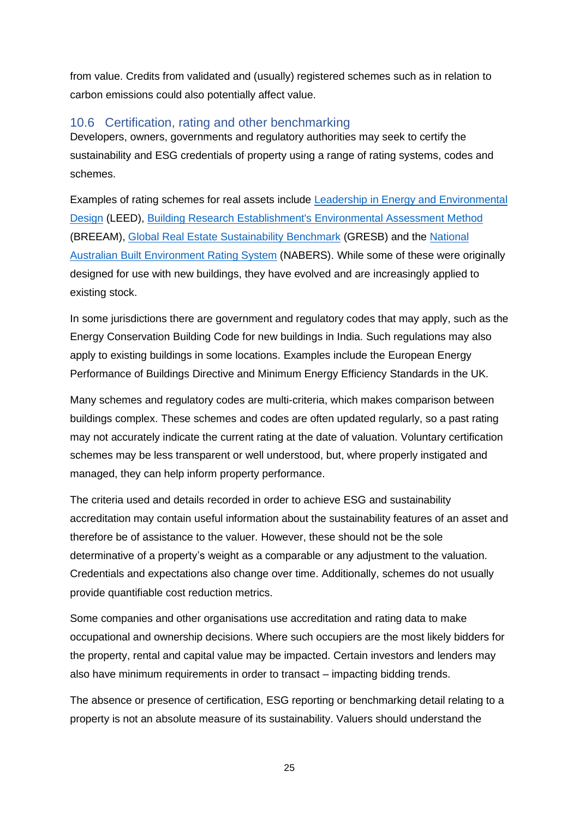from value. Credits from validated and (usually) registered schemes such as in relation to carbon emissions could also potentially affect value.

### 10.6 Certification, rating and other benchmarking

Developers, owners, governments and regulatory authorities may seek to certify the sustainability and ESG credentials of property using a range of rating systems, codes and schemes.

Examples of rating schemes for real assets include [Leadership in Energy and Environmental](https://www.usgbc.org/leed)  [Design](https://www.usgbc.org/leed) (LEED), [Building Research Establishment's Environmental Assessment Method](https://www.breeam.com/) (BREEAM), [Global Real Estate Sustainability Benchmark](https://gresb.com/) (GRESB) and the [National](https://www.nabers.gov.au/)  [Australian Built Environment Rating System](https://www.nabers.gov.au/) (NABERS). While some of these were originally designed for use with new buildings, they have evolved and are increasingly applied to existing stock.

In some jurisdictions there are government and regulatory codes that may apply, such as the Energy Conservation Building Code for new buildings in India. Such regulations may also apply to existing buildings in some locations. Examples include the European Energy Performance of Buildings Directive and Minimum Energy Efficiency Standards in the UK.

Many schemes and regulatory codes are multi-criteria, which makes comparison between buildings complex. These schemes and codes are often updated regularly, so a past rating may not accurately indicate the current rating at the date of valuation. Voluntary certification schemes may be less transparent or well understood, but, where properly instigated and managed, they can help inform property performance.

The criteria used and details recorded in order to achieve ESG and sustainability accreditation may contain useful information about the sustainability features of an asset and therefore be of assistance to the valuer. However, these should not be the sole determinative of a property's weight as a comparable or any adjustment to the valuation. Credentials and expectations also change over time. Additionally, schemes do not usually provide quantifiable cost reduction metrics.

Some companies and other organisations use accreditation and rating data to make occupational and ownership decisions. Where such occupiers are the most likely bidders for the property, rental and capital value may be impacted. Certain investors and lenders may also have minimum requirements in order to transact – impacting bidding trends.

The absence or presence of certification, ESG reporting or benchmarking detail relating to a property is not an absolute measure of its sustainability. Valuers should understand the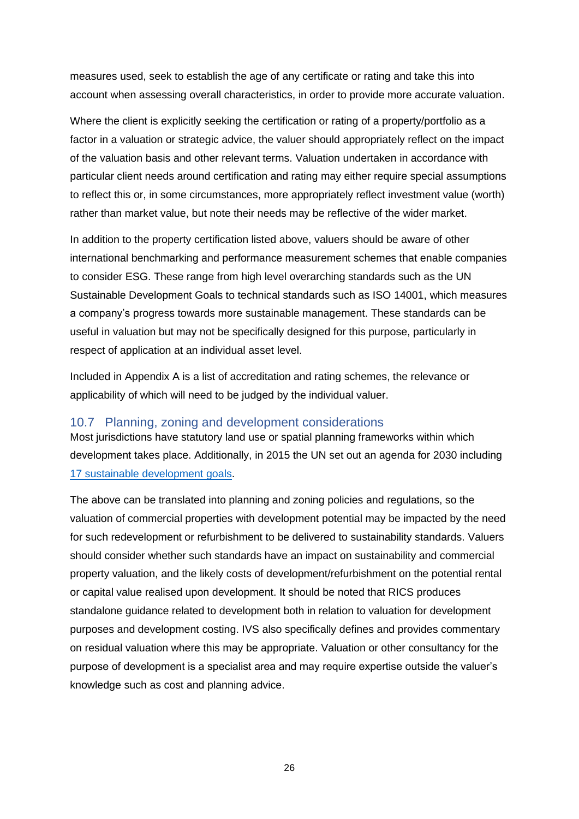measures used, seek to establish the age of any certificate or rating and take this into account when assessing overall characteristics, in order to provide more accurate valuation.

Where the client is explicitly seeking the certification or rating of a property/portfolio as a factor in a valuation or strategic advice, the valuer should appropriately reflect on the impact of the valuation basis and other relevant terms. Valuation undertaken in accordance with particular client needs around certification and rating may either require special assumptions to reflect this or, in some circumstances, more appropriately reflect investment value (worth) rather than market value, but note their needs may be reflective of the wider market.

In addition to the property certification listed above, valuers should be aware of other international benchmarking and performance measurement schemes that enable companies to consider ESG. These range from high level overarching standards such as the UN Sustainable Development Goals to technical standards such as ISO 14001, which measures a company's progress towards more sustainable management. These standards can be useful in valuation but may not be specifically designed for this purpose, particularly in respect of application at an individual asset level.

Included in Appendix A is a list of accreditation and rating schemes, the relevance or applicability of which will need to be judged by the individual valuer.

#### 10.7 Planning, zoning and development considerations

Most jurisdictions have statutory land use or spatial planning frameworks within which development takes place. Additionally, in 2015 the UN set out an agenda for 2030 including [17 sustainable development goals.](https://www.rics.org/uk/about-rics/responsible-business/un-sustainable-development/)

The above can be translated into planning and zoning policies and regulations, so the valuation of commercial properties with development potential may be impacted by the need for such redevelopment or refurbishment to be delivered to sustainability standards. Valuers should consider whether such standards have an impact on sustainability and commercial property valuation, and the likely costs of development/refurbishment on the potential rental or capital value realised upon development. It should be noted that RICS produces standalone guidance related to development both in relation to valuation for development purposes and development costing. IVS also specifically defines and provides commentary on residual valuation where this may be appropriate. Valuation or other consultancy for the purpose of development is a specialist area and may require expertise outside the valuer's knowledge such as cost and planning advice.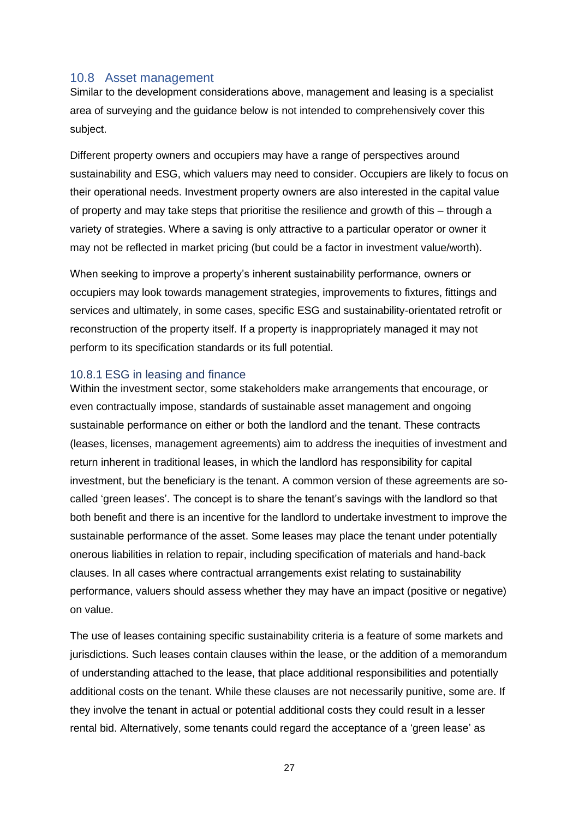#### 10.8 Asset management

Similar to the development considerations above, management and leasing is a specialist area of surveying and the guidance below is not intended to comprehensively cover this subject.

Different property owners and occupiers may have a range of perspectives around sustainability and ESG, which valuers may need to consider. Occupiers are likely to focus on their operational needs. Investment property owners are also interested in the capital value of property and may take steps that prioritise the resilience and growth of this – through a variety of strategies. Where a saving is only attractive to a particular operator or owner it may not be reflected in market pricing (but could be a factor in investment value/worth).

When seeking to improve a property's inherent sustainability performance, owners or occupiers may look towards management strategies, improvements to fixtures, fittings and services and ultimately, in some cases, specific ESG and sustainability-orientated retrofit or reconstruction of the property itself. If a property is inappropriately managed it may not perform to its specification standards or its full potential.

#### 10.8.1 ESG in leasing and finance

Within the investment sector, some stakeholders make arrangements that encourage, or even contractually impose, standards of sustainable asset management and ongoing sustainable performance on either or both the landlord and the tenant. These contracts (leases, licenses, management agreements) aim to address the inequities of investment and return inherent in traditional leases, in which the landlord has responsibility for capital investment, but the beneficiary is the tenant. A common version of these agreements are socalled 'green leases'. The concept is to share the tenant's savings with the landlord so that both benefit and there is an incentive for the landlord to undertake investment to improve the sustainable performance of the asset. Some leases may place the tenant under potentially onerous liabilities in relation to repair, including specification of materials and hand-back clauses. In all cases where contractual arrangements exist relating to sustainability performance, valuers should assess whether they may have an impact (positive or negative) on value.

The use of leases containing specific sustainability criteria is a feature of some markets and jurisdictions. Such leases contain clauses within the lease, or the addition of a memorandum of understanding attached to the lease, that place additional responsibilities and potentially additional costs on the tenant. While these clauses are not necessarily punitive, some are. If they involve the tenant in actual or potential additional costs they could result in a lesser rental bid. Alternatively, some tenants could regard the acceptance of a 'green lease' as

27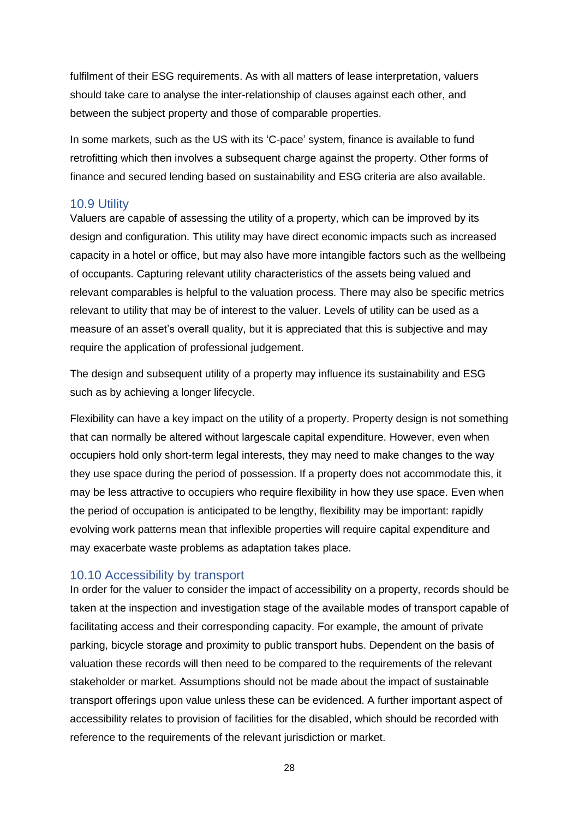fulfilment of their ESG requirements. As with all matters of lease interpretation, valuers should take care to analyse the inter-relationship of clauses against each other, and between the subject property and those of comparable properties.

In some markets, such as the US with its 'C-pace' system, finance is available to fund retrofitting which then involves a subsequent charge against the property. Other forms of finance and secured lending based on sustainability and ESG criteria are also available.

### 10.9 Utility

Valuers are capable of assessing the utility of a property, which can be improved by its design and configuration. This utility may have direct economic impacts such as increased capacity in a hotel or office, but may also have more intangible factors such as the wellbeing of occupants. Capturing relevant utility characteristics of the assets being valued and relevant comparables is helpful to the valuation process. There may also be specific metrics relevant to utility that may be of interest to the valuer. Levels of utility can be used as a measure of an asset's overall quality, but it is appreciated that this is subjective and may require the application of professional judgement.

The design and subsequent utility of a property may influence its sustainability and ESG such as by achieving a longer lifecycle.

Flexibility can have a key impact on the utility of a property. Property design is not something that can normally be altered without largescale capital expenditure. However, even when occupiers hold only short-term legal interests, they may need to make changes to the way they use space during the period of possession. If a property does not accommodate this, it may be less attractive to occupiers who require flexibility in how they use space. Even when the period of occupation is anticipated to be lengthy, flexibility may be important: rapidly evolving work patterns mean that inflexible properties will require capital expenditure and may exacerbate waste problems as adaptation takes place.

### 10.10 Accessibility by transport

In order for the valuer to consider the impact of accessibility on a property, records should be taken at the inspection and investigation stage of the available modes of transport capable of facilitating access and their corresponding capacity. For example, the amount of private parking, bicycle storage and proximity to public transport hubs. Dependent on the basis of valuation these records will then need to be compared to the requirements of the relevant stakeholder or market. Assumptions should not be made about the impact of sustainable transport offerings upon value unless these can be evidenced. A further important aspect of accessibility relates to provision of facilities for the disabled, which should be recorded with reference to the requirements of the relevant jurisdiction or market.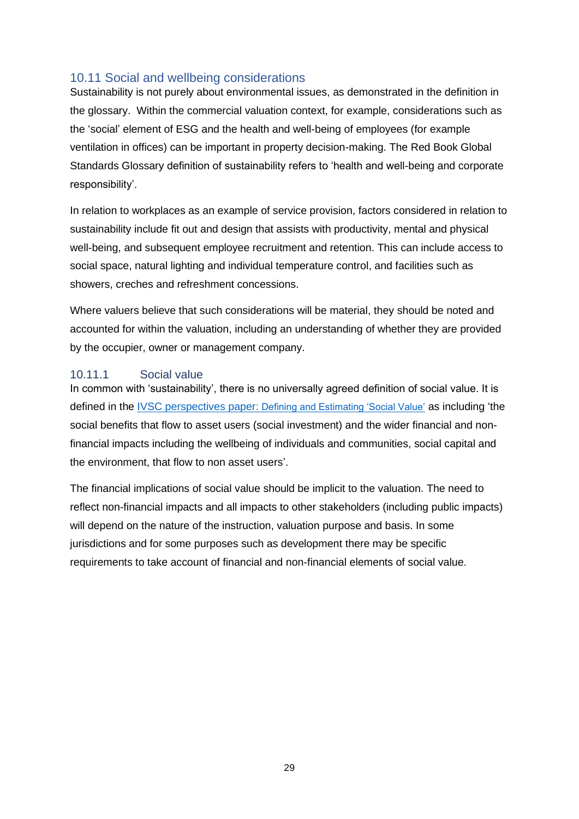## 10.11 Social and wellbeing considerations

Sustainability is not purely about environmental issues, as demonstrated in the definition in the glossary. Within the commercial valuation context, for example, considerations such as the 'social' element of ESG and the health and well-being of employees (for example ventilation in offices) can be important in property decision-making. The Red Book Global Standards Glossary definition of sustainability refers to 'health and well-being and corporate responsibility'.

In relation to workplaces as an example of service provision, factors considered in relation to sustainability include fit out and design that assists with productivity, mental and physical well-being, and subsequent employee recruitment and retention. This can include access to social space, natural lighting and individual temperature control, and facilities such as showers, creches and refreshment concessions.

Where valuers believe that such considerations will be material, they should be noted and accounted for within the valuation, including an understanding of whether they are provided by the occupier, owner or management company.

#### 10.11.1 Social value

In common with 'sustainability', there is no universally agreed definition of social value. It is defined in the [IVSC perspectives paper:](https://www.ivsc.org/news/article/perspectives-paper-how-do-you-define-and-estimate-social-value) [Defining and Estimating 'Social Value'](https://www.ivsc.org/news/article/perspectives-paper-how-do-you-define-and-estimate-social-value) as including 'the social benefits that flow to asset users (social investment) and the wider financial and nonfinancial impacts including the wellbeing of individuals and communities, social capital and the environment, that flow to non asset users'.

The financial implications of social value should be implicit to the valuation. The need to reflect non-financial impacts and all impacts to other stakeholders (including public impacts) will depend on the nature of the instruction, valuation purpose and basis. In some jurisdictions and for some purposes such as development there may be specific requirements to take account of financial and non-financial elements of social value.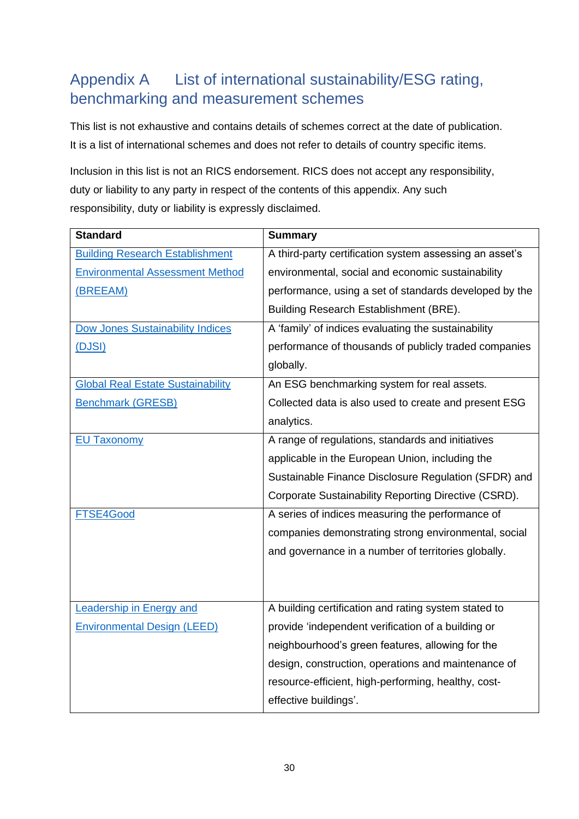# Appendix A List of international sustainability/ESG rating, benchmarking and measurement schemes

This list is not exhaustive and contains details of schemes correct at the date of publication. It is a list of international schemes and does not refer to details of country specific items.

Inclusion in this list is not an RICS endorsement. RICS does not accept any responsibility, duty or liability to any party in respect of the contents of this appendix. Any such responsibility, duty or liability is expressly disclaimed.

| <b>Standard</b>                          | <b>Summary</b>                                          |
|------------------------------------------|---------------------------------------------------------|
| <b>Building Research Establishment</b>   | A third-party certification system assessing an asset's |
| <b>Environmental Assessment Method</b>   | environmental, social and economic sustainability       |
| (BREEAM)                                 | performance, using a set of standards developed by the  |
|                                          | Building Research Establishment (BRE).                  |
| <b>Dow Jones Sustainability Indices</b>  | A 'family' of indices evaluating the sustainability     |
| (DJSI)                                   | performance of thousands of publicly traded companies   |
|                                          | globally.                                               |
| <b>Global Real Estate Sustainability</b> | An ESG benchmarking system for real assets.             |
| <b>Benchmark (GRESB)</b>                 | Collected data is also used to create and present ESG   |
|                                          | analytics.                                              |
| <b>EU Taxonomy</b>                       | A range of regulations, standards and initiatives       |
|                                          | applicable in the European Union, including the         |
|                                          | Sustainable Finance Disclosure Regulation (SFDR) and    |
|                                          | Corporate Sustainability Reporting Directive (CSRD).    |
| FTSE4Good                                | A series of indices measuring the performance of        |
|                                          | companies demonstrating strong environmental, social    |
|                                          | and governance in a number of territories globally.     |
|                                          |                                                         |
|                                          |                                                         |
| <b>Leadership in Energy and</b>          | A building certification and rating system stated to    |
| <b>Environmental Design (LEED)</b>       | provide 'independent verification of a building or      |
|                                          | neighbourhood's green features, allowing for the        |
|                                          | design, construction, operations and maintenance of     |
|                                          | resource-efficient, high-performing, healthy, cost-     |
|                                          | effective buildings'.                                   |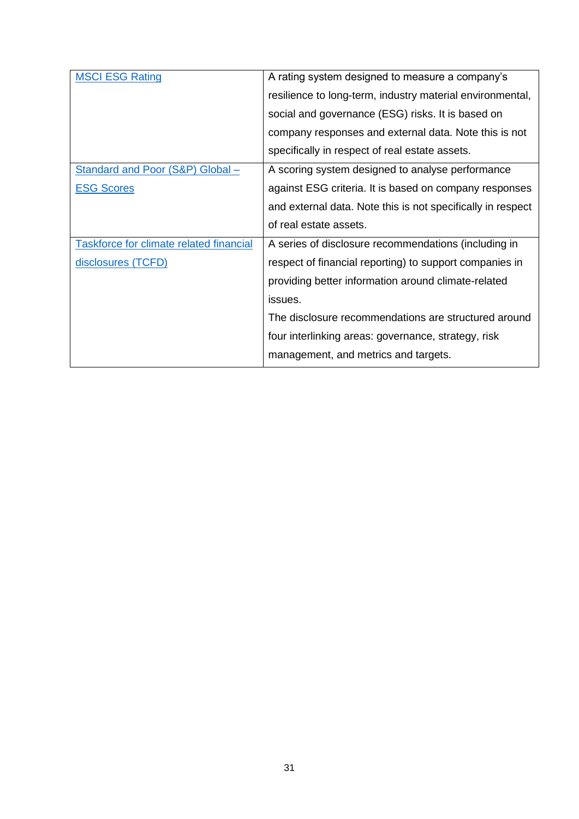| <b>MSCI ESG Rating</b>                  | A rating system designed to measure a company's             |
|-----------------------------------------|-------------------------------------------------------------|
|                                         | resilience to long-term, industry material environmental,   |
|                                         | social and governance (ESG) risks. It is based on           |
|                                         | company responses and external data. Note this is not       |
|                                         | specifically in respect of real estate assets.              |
| Standard and Poor (S&P) Global -        | A scoring system designed to analyse performance            |
| <b>ESG Scores</b>                       | against ESG criteria. It is based on company responses      |
|                                         | and external data. Note this is not specifically in respect |
|                                         | of real estate assets.                                      |
| Taskforce for climate related financial | A series of disclosure recommendations (including in        |
| disclosures (TCFD)                      | respect of financial reporting) to support companies in     |
|                                         | providing better information around climate-related         |
|                                         | issues.                                                     |
|                                         | The disclosure recommendations are structured around        |
|                                         | four interlinking areas: governance, strategy, risk         |
|                                         | management, and metrics and targets.                        |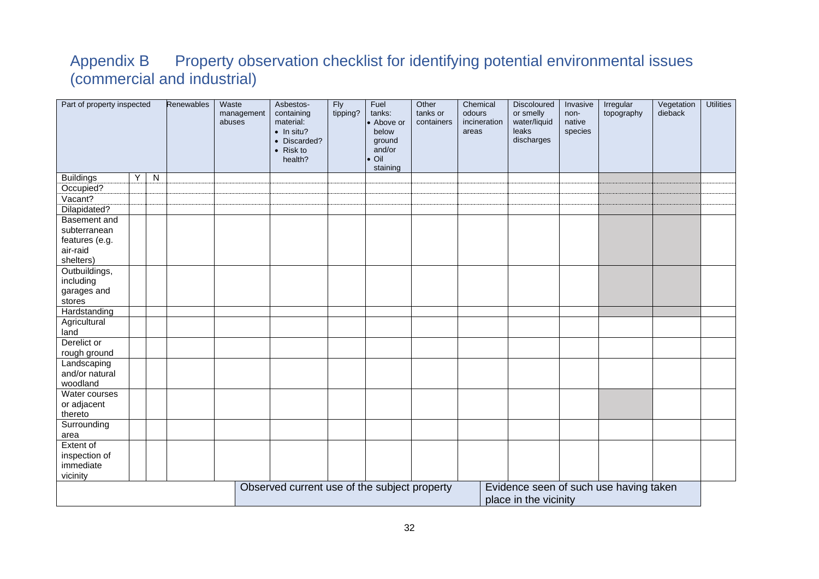# Appendix B Property observation checklist for identifying potential environmental issues (commercial and industrial)

| Part of property inspected |    |           | Renewables | Waste<br>abuses | management | Asbestos-<br>containing<br>material:<br>$\bullet$ In situ?<br>• Discarded?<br>• Risk to<br>health? | <b>Fly</b><br>tipping? | Fuel<br>tanks:<br>• Above or<br>below<br>ground<br>and/or<br>$\bullet$ Oil<br>staining | Other<br>tanks or<br>containers | Chemical<br>odours<br>incineration<br>areas | <b>Discoloured</b><br>or smelly<br>water/liquid<br><b>leaks</b><br>discharges | Invasive<br>non-<br>native<br>species | Irregular<br>topography                | Vegetation<br>dieback | <b>Utilities</b> |
|----------------------------|----|-----------|------------|-----------------|------------|----------------------------------------------------------------------------------------------------|------------------------|----------------------------------------------------------------------------------------|---------------------------------|---------------------------------------------|-------------------------------------------------------------------------------|---------------------------------------|----------------------------------------|-----------------------|------------------|
| <b>Buildings</b>           | Y. | ${\sf N}$ |            |                 |            |                                                                                                    |                        |                                                                                        |                                 |                                             |                                                                               |                                       |                                        |                       |                  |
| Occupied?                  |    |           |            |                 |            |                                                                                                    |                        |                                                                                        |                                 |                                             |                                                                               |                                       |                                        |                       |                  |
| Vacant?                    |    |           |            |                 |            |                                                                                                    |                        |                                                                                        |                                 |                                             |                                                                               |                                       |                                        |                       |                  |
| Dilapidated?               |    |           |            |                 |            |                                                                                                    |                        |                                                                                        |                                 |                                             |                                                                               |                                       |                                        |                       |                  |
| Basement and               |    |           |            |                 |            |                                                                                                    |                        |                                                                                        |                                 |                                             |                                                                               |                                       |                                        |                       |                  |
| subterranean               |    |           |            |                 |            |                                                                                                    |                        |                                                                                        |                                 |                                             |                                                                               |                                       |                                        |                       |                  |
| features (e.g.             |    |           |            |                 |            |                                                                                                    |                        |                                                                                        |                                 |                                             |                                                                               |                                       |                                        |                       |                  |
| air-raid                   |    |           |            |                 |            |                                                                                                    |                        |                                                                                        |                                 |                                             |                                                                               |                                       |                                        |                       |                  |
| shelters)                  |    |           |            |                 |            |                                                                                                    |                        |                                                                                        |                                 |                                             |                                                                               |                                       |                                        |                       |                  |
| Outbuildings,              |    |           |            |                 |            |                                                                                                    |                        |                                                                                        |                                 |                                             |                                                                               |                                       |                                        |                       |                  |
| including                  |    |           |            |                 |            |                                                                                                    |                        |                                                                                        |                                 |                                             |                                                                               |                                       |                                        |                       |                  |
| garages and                |    |           |            |                 |            |                                                                                                    |                        |                                                                                        |                                 |                                             |                                                                               |                                       |                                        |                       |                  |
| stores                     |    |           |            |                 |            |                                                                                                    |                        |                                                                                        |                                 |                                             |                                                                               |                                       |                                        |                       |                  |
| Hardstanding               |    |           |            |                 |            |                                                                                                    |                        |                                                                                        |                                 |                                             |                                                                               |                                       |                                        |                       |                  |
| Agricultural               |    |           |            |                 |            |                                                                                                    |                        |                                                                                        |                                 |                                             |                                                                               |                                       |                                        |                       |                  |
| land                       |    |           |            |                 |            |                                                                                                    |                        |                                                                                        |                                 |                                             |                                                                               |                                       |                                        |                       |                  |
| Derelict or                |    |           |            |                 |            |                                                                                                    |                        |                                                                                        |                                 |                                             |                                                                               |                                       |                                        |                       |                  |
| rough ground               |    |           |            |                 |            |                                                                                                    |                        |                                                                                        |                                 |                                             |                                                                               |                                       |                                        |                       |                  |
| Landscaping                |    |           |            |                 |            |                                                                                                    |                        |                                                                                        |                                 |                                             |                                                                               |                                       |                                        |                       |                  |
| and/or natural             |    |           |            |                 |            |                                                                                                    |                        |                                                                                        |                                 |                                             |                                                                               |                                       |                                        |                       |                  |
| woodland<br>Water courses  |    |           |            |                 |            |                                                                                                    |                        |                                                                                        |                                 |                                             |                                                                               |                                       |                                        |                       |                  |
| or adjacent                |    |           |            |                 |            |                                                                                                    |                        |                                                                                        |                                 |                                             |                                                                               |                                       |                                        |                       |                  |
| thereto                    |    |           |            |                 |            |                                                                                                    |                        |                                                                                        |                                 |                                             |                                                                               |                                       |                                        |                       |                  |
| Surrounding                |    |           |            |                 |            |                                                                                                    |                        |                                                                                        |                                 |                                             |                                                                               |                                       |                                        |                       |                  |
| area                       |    |           |            |                 |            |                                                                                                    |                        |                                                                                        |                                 |                                             |                                                                               |                                       |                                        |                       |                  |
| Extent of                  |    |           |            |                 |            |                                                                                                    |                        |                                                                                        |                                 |                                             |                                                                               |                                       |                                        |                       |                  |
| inspection of              |    |           |            |                 |            |                                                                                                    |                        |                                                                                        |                                 |                                             |                                                                               |                                       |                                        |                       |                  |
| immediate                  |    |           |            |                 |            |                                                                                                    |                        |                                                                                        |                                 |                                             |                                                                               |                                       |                                        |                       |                  |
| vicinity                   |    |           |            |                 |            |                                                                                                    |                        |                                                                                        |                                 |                                             |                                                                               |                                       |                                        |                       |                  |
|                            |    |           |            |                 |            | Observed current use of the subject property                                                       |                        |                                                                                        |                                 |                                             |                                                                               |                                       | Evidence seen of such use having taken |                       |                  |
|                            |    |           |            |                 |            |                                                                                                    |                        |                                                                                        |                                 |                                             | place in the vicinity                                                         |                                       |                                        |                       |                  |